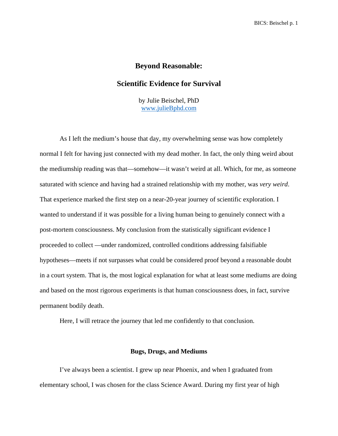# **Beyond Reasonable:**

# **Scientific Evidence for Survival**

by Julie Beischel, PhD [www.julieBphd.com](https://www.juliebphd.com/)

As I left the medium's house that day, my overwhelming sense was how completely normal I felt for having just connected with my dead mother. In fact, the only thing weird about the mediumship reading was that—somehow—it wasn't weird at all. Which, for me, as someone saturated with science and having had a strained relationship with my mother, was *very weird*. That experience marked the first step on a near-20-year journey of scientific exploration. I wanted to understand if it was possible for a living human being to genuinely connect with a post-mortem consciousness. My conclusion from the statistically significant evidence I proceeded to collect —under randomized, controlled conditions addressing falsifiable hypotheses—meets if not surpasses what could be considered proof beyond a reasonable doubt in a court system. That is, the most logical explanation for what at least some mediums are doing and based on the most rigorous experiments is that human consciousness does, in fact, survive permanent bodily death.

Here, I will retrace the journey that led me confidently to that conclusion.

### **Bugs, Drugs, and Mediums**

I've always been a scientist. I grew up near Phoenix, and when I graduated from elementary school, I was chosen for the class Science Award. During my first year of high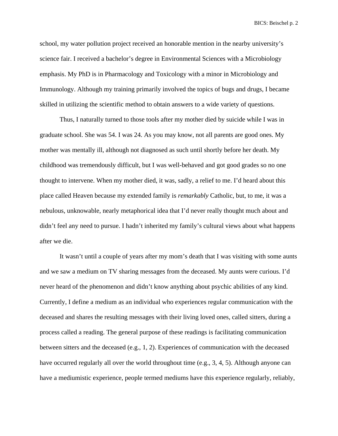school, my water pollution project received an honorable mention in the nearby university's science fair. I received a bachelor's degree in Environmental Sciences with a Microbiology emphasis. My PhD is in Pharmacology and Toxicology with a minor in Microbiology and Immunology. Although my training primarily involved the topics of bugs and drugs, I became skilled in utilizing the scientific method to obtain answers to a wide variety of questions.

Thus, I naturally turned to those tools after my mother died by suicide while I was in graduate school. She was 54. I was 24. As you may know, not all parents are good ones. My mother was mentally ill, although not diagnosed as such until shortly before her death. My childhood was tremendously difficult, but I was well-behaved and got good grades so no one thought to intervene. When my mother died, it was, sadly, a relief to me. I'd heard about this place called Heaven because my extended family is *remarkably* Catholic, but, to me, it was a nebulous, unknowable, nearly metaphorical idea that I'd never really thought much about and didn't feel any need to pursue. I hadn't inherited my family's cultural views about what happens after we die.

It wasn't until a couple of years after my mom's death that I was visiting with some aunts and we saw a medium on TV sharing messages from the deceased. My aunts were curious. I'd never heard of the phenomenon and didn't know anything about psychic abilities of any kind. Currently, I define a medium as an individual who experiences regular communication with the deceased and shares the resulting messages with their living loved ones, called sitters, during a process called a reading. The general purpose of these readings is facilitating communication between sitters and the deceased (e.g., 1, 2). Experiences of communication with the deceased have occurred regularly all over the world throughout time (e.g., 3, 4, 5). Although anyone can have a mediumistic experience, people termed mediums have this experience regularly, reliably,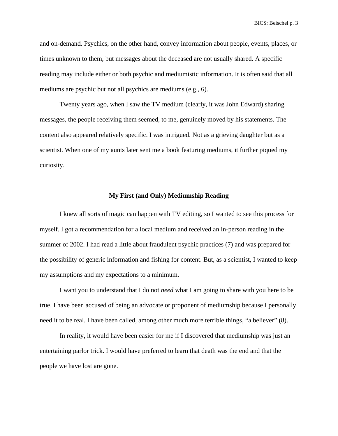and on-demand. Psychics, on the other hand, convey information about people, events, places, or times unknown to them, but messages about the deceased are not usually shared. A specific reading may include either or both psychic and mediumistic information. It is often said that all mediums are psychic but not all psychics are mediums (e.g., 6).

Twenty years ago, when I saw the TV medium (clearly, it was John Edward) sharing messages, the people receiving them seemed, to me, genuinely moved by his statements. The content also appeared relatively specific. I was intrigued. Not as a grieving daughter but as a scientist. When one of my aunts later sent me a book featuring mediums, it further piqued my curiosity.

### **My First (and Only) Mediumship Reading**

I knew all sorts of magic can happen with TV editing, so I wanted to see this process for myself. I got a recommendation for a local medium and received an in-person reading in the summer of 2002. I had read a little about fraudulent psychic practices (7) and was prepared for the possibility of generic information and fishing for content. But, as a scientist, I wanted to keep my assumptions and my expectations to a minimum.

I want you to understand that I do not *need* what I am going to share with you here to be true. I have been accused of being an advocate or proponent of mediumship because I personally need it to be real. I have been called, among other much more terrible things, "a believer" (8).

In reality, it would have been easier for me if I discovered that mediumship was just an entertaining parlor trick. I would have preferred to learn that death was the end and that the people we have lost are gone.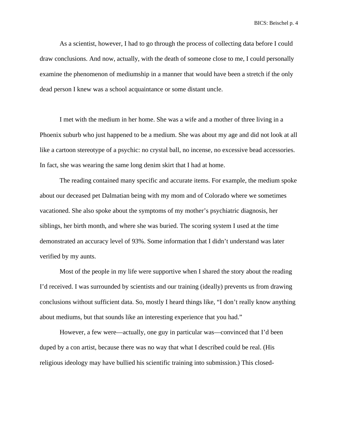As a scientist, however, I had to go through the process of collecting data before I could draw conclusions. And now, actually, with the death of someone close to me, I could personally examine the phenomenon of mediumship in a manner that would have been a stretch if the only dead person I knew was a school acquaintance or some distant uncle.

I met with the medium in her home. She was a wife and a mother of three living in a Phoenix suburb who just happened to be a medium. She was about my age and did not look at all like a cartoon stereotype of a psychic: no crystal ball, no incense, no excessive bead accessories. In fact, she was wearing the same long denim skirt that I had at home.

The reading contained many specific and accurate items. For example, the medium spoke about our deceased pet Dalmatian being with my mom and of Colorado where we sometimes vacationed. She also spoke about the symptoms of my mother's psychiatric diagnosis, her siblings, her birth month, and where she was buried. The scoring system I used at the time demonstrated an accuracy level of 93%. Some information that I didn't understand was later verified by my aunts.

Most of the people in my life were supportive when I shared the story about the reading I'd received. I was surrounded by scientists and our training (ideally) prevents us from drawing conclusions without sufficient data. So, mostly I heard things like, "I don't really know anything about mediums, but that sounds like an interesting experience that you had."

However, a few were—actually, one guy in particular was—convinced that I'd been duped by a con artist, because there was no way that what I described could be real. (His religious ideology may have bullied his scientific training into submission.) This closed-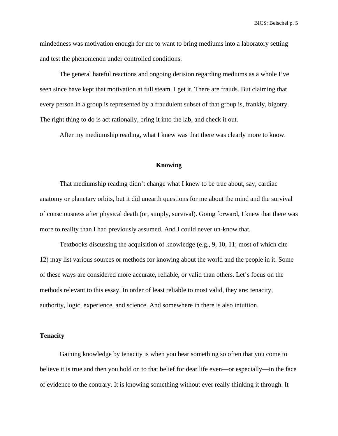mindedness was motivation enough for me to want to bring mediums into a laboratory setting and test the phenomenon under controlled conditions.

The general hateful reactions and ongoing derision regarding mediums as a whole I've seen since have kept that motivation at full steam. I get it. There are frauds. But claiming that every person in a group is represented by a fraudulent subset of that group is, frankly, bigotry. The right thing to do is act rationally, bring it into the lab, and check it out.

After my mediumship reading, what I knew was that there was clearly more to know.

### **Knowing**

That mediumship reading didn't change what I knew to be true about, say, cardiac anatomy or planetary orbits, but it did unearth questions for me about the mind and the survival of consciousness after physical death (or, simply, survival). Going forward, I knew that there was more to reality than I had previously assumed. And I could never un-know that.

Textbooks discussing the acquisition of knowledge (e.g., 9, 10, 11; most of which cite 12) may list various sources or methods for knowing about the world and the people in it. Some of these ways are considered more accurate, reliable, or valid than others. Let's focus on the methods relevant to this essay. In order of least reliable to most valid, they are: tenacity, authority, logic, experience, and science. And somewhere in there is also intuition.

### **Tenacity**

Gaining knowledge by tenacity is when you hear something so often that you come to believe it is true and then you hold on to that belief for dear life even—or especially—in the face of evidence to the contrary. It is knowing something without ever really thinking it through. It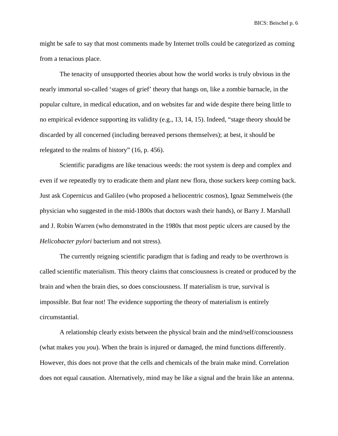might be safe to say that most comments made by Internet trolls could be categorized as coming from a tenacious place.

The tenacity of unsupported theories about how the world works is truly obvious in the nearly immortal so-called 'stages of grief' theory that hangs on, like a zombie barnacle, in the popular culture, in medical education, and on websites far and wide despite there being little to no empirical evidence supporting its validity (e.g., 13, 14, 15). Indeed, "stage theory should be discarded by all concerned (including bereaved persons themselves); at best, it should be relegated to the realms of history" (16, p. 456).

Scientific paradigms are like tenacious weeds: the root system is deep and complex and even if we repeatedly try to eradicate them and plant new flora, those suckers keep coming back. Just ask Copernicus and Galileo (who proposed a heliocentric cosmos), Ignaz Semmelweis (the physician who suggested in the mid-1800s that doctors wash their hands), or Barry J. Marshall and J. Robin Warren (who demonstrated in the 1980s that most peptic ulcers are caused by the *Helicobacter pylori* bacterium and not stress).

The currently reigning scientific paradigm that is fading and ready to be overthrown is called scientific materialism. This theory claims that consciousness is created or produced by the brain and when the brain dies, so does consciousness. If materialism is true, survival is impossible. But fear not! The evidence supporting the theory of materialism is entirely circumstantial.

A relationship clearly exists between the physical brain and the mind/self/consciousness (what makes you *you*). When the brain is injured or damaged, the mind functions differently. However, this does not prove that the cells and chemicals of the brain make mind. Correlation does not equal causation. Alternatively, mind may be like a signal and the brain like an antenna.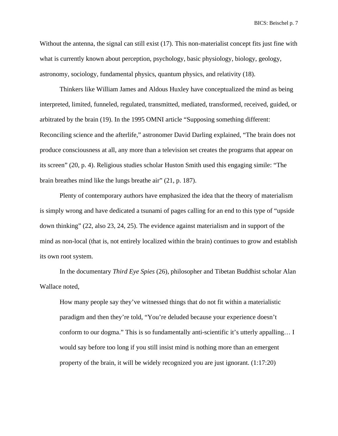Without the antenna, the signal can still exist (17). This non-materialist concept fits just fine with what is currently known about perception, psychology, basic physiology, biology, geology, astronomy, sociology, fundamental physics, quantum physics, and relativity (18).

Thinkers like William James and Aldous Huxley have conceptualized the mind as being interpreted, limited, funneled, regulated, transmitted, mediated, transformed, received, guided, or arbitrated by the brain (19). In the 1995 OMNI article "Supposing something different: Reconciling science and the afterlife," astronomer David Darling explained, "The brain does not produce consciousness at all, any more than a television set creates the programs that appear on its screen" (20, p. 4). Religious studies scholar Huston Smith used this engaging simile: "The brain breathes mind like the lungs breathe air" (21, p. 187).

Plenty of contemporary authors have emphasized the idea that the theory of materialism is simply wrong and have dedicated a tsunami of pages calling for an end to this type of "upside down thinking" (22, also 23, 24, 25). The evidence against materialism and in support of the mind as non-local (that is, not entirely localized within the brain) continues to grow and establish its own root system.

In the documentary *Third Eye Spies* (26), philosopher and Tibetan Buddhist scholar Alan Wallace noted,

How many people say they've witnessed things that do not fit within a materialistic paradigm and then they're told, "You're deluded because your experience doesn't conform to our dogma." This is so fundamentally anti-scientific it's utterly appalling… I would say before too long if you still insist mind is nothing more than an emergent property of the brain, it will be widely recognized you are just ignorant. (1:17:20)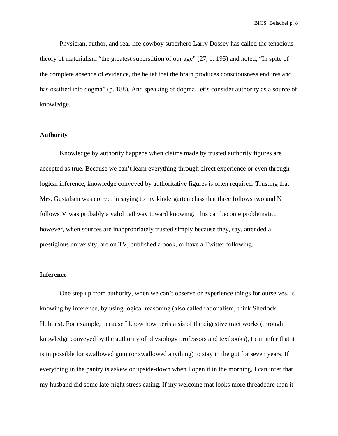Physician, author, and real-life cowboy superhero Larry Dossey has called the tenacious theory of materialism "the greatest superstition of our age" (27, p. 195) and noted, "In spite of the complete absence of evidence, the belief that the brain produces consciousness endures and has ossified into dogma" (p. 188). And speaking of dogma, let's consider authority as a source of knowledge.

### **Authority**

Knowledge by authority happens when claims made by trusted authority figures are accepted as true. Because we can't learn everything through direct experience or even through logical inference, knowledge conveyed by authoritative figures is often required. Trusting that Mrs. Gustafsen was correct in saying to my kindergarten class that three follows two and N follows M was probably a valid pathway toward knowing. This can become problematic, however, when sources are inappropriately trusted simply because they, say, attended a prestigious university, are on TV, published a book, or have a Twitter following.

### **Inference**

One step up from authority, when we can't observe or experience things for ourselves, is knowing by inference, by using logical reasoning (also called rationalism; think Sherlock Holmes). For example, because I know how peristalsis of the digestive tract works (through knowledge conveyed by the authority of physiology professors and textbooks), I can infer that it is impossible for swallowed gum (or swallowed anything) to stay in the gut for seven years. If everything in the pantry is askew or upside-down when I open it in the morning, I can infer that my husband did some late-night stress eating. If my welcome mat looks more threadbare than it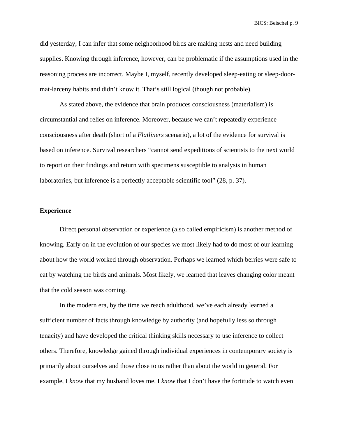did yesterday, I can infer that some neighborhood birds are making nests and need building supplies. Knowing through inference, however, can be problematic if the assumptions used in the reasoning process are incorrect. Maybe I, myself, recently developed sleep-eating or sleep-doormat-larceny habits and didn't know it. That's still logical (though not probable).

As stated above, the evidence that brain produces consciousness (materialism) is circumstantial and relies on inference. Moreover, because we can't repeatedly experience consciousness after death (short of a *Flatliners* scenario), a lot of the evidence for survival is based on inference. Survival researchers "cannot send expeditions of scientists to the next world to report on their findings and return with specimens susceptible to analysis in human laboratories, but inference is a perfectly acceptable scientific tool" (28, p. 37).

## **Experience**

Direct personal observation or experience (also called empiricism) is another method of knowing. Early on in the evolution of our species we most likely had to do most of our learning about how the world worked through observation. Perhaps we learned which berries were safe to eat by watching the birds and animals. Most likely, we learned that leaves changing color meant that the cold season was coming.

In the modern era, by the time we reach adulthood, we've each already learned a sufficient number of facts through knowledge by authority (and hopefully less so through tenacity) and have developed the critical thinking skills necessary to use inference to collect others. Therefore, knowledge gained through individual experiences in contemporary society is primarily about ourselves and those close to us rather than about the world in general. For example, I *know* that my husband loves me. I *know* that I don't have the fortitude to watch even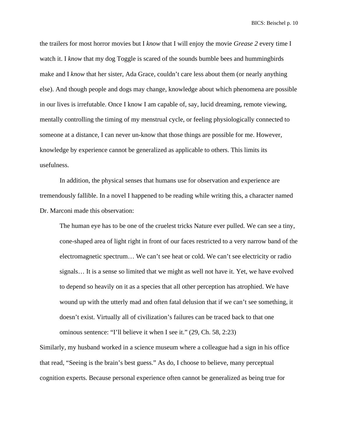the trailers for most horror movies but I *know* that I will enjoy the movie *Grease 2* every time I watch it. I *know* that my dog Toggle is scared of the sounds bumble bees and hummingbirds make and I *know* that her sister, Ada Grace, couldn't care less about them (or nearly anything else). And though people and dogs may change, knowledge about which phenomena are possible in our lives is irrefutable. Once I know I am capable of, say, lucid dreaming, remote viewing, mentally controlling the timing of my menstrual cycle, or feeling physiologically connected to someone at a distance, I can never un-know that those things are possible for me. However, knowledge by experience cannot be generalized as applicable to others. This limits its usefulness.

In addition, the physical senses that humans use for observation and experience are tremendously fallible. In a novel I happened to be reading while writing this, a character named Dr. Marconi made this observation:

The human eye has to be one of the cruelest tricks Nature ever pulled. We can see a tiny, cone-shaped area of light right in front of our faces restricted to a very narrow band of the electromagnetic spectrum… We can't see heat or cold. We can't see electricity or radio signals… It is a sense so limited that we might as well not have it. Yet, we have evolved to depend so heavily on it as a species that all other perception has atrophied. We have wound up with the utterly mad and often fatal delusion that if we can't see something, it doesn't exist. Virtually all of civilization's failures can be traced back to that one ominous sentence: "I'll believe it when I see it." (29, Ch. 58, 2:23)

Similarly, my husband worked in a science museum where a colleague had a sign in his office that read, "Seeing is the brain's best guess." As do, I choose to believe, many perceptual cognition experts. Because personal experience often cannot be generalized as being true for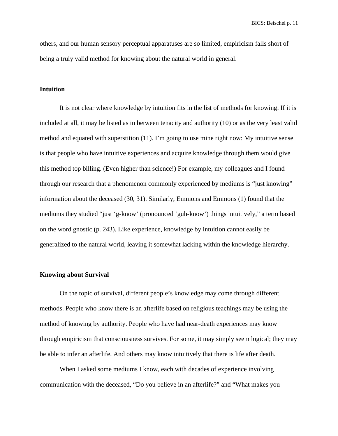others, and our human sensory perceptual apparatuses are so limited, empiricism falls short of being a truly valid method for knowing about the natural world in general.

### **Intuition**

It is not clear where knowledge by intuition fits in the list of methods for knowing. If it is included at all, it may be listed as in between tenacity and authority (10) or as the very least valid method and equated with superstition (11). I'm going to use mine right now: My intuitive sense is that people who have intuitive experiences and acquire knowledge through them would give this method top billing. (Even higher than science!) For example, my colleagues and I found through our research that a phenomenon commonly experienced by mediums is "just knowing" information about the deceased (30, 31). Similarly, Emmons and Emmons (1) found that the mediums they studied "just 'g-know' (pronounced 'guh-know') things intuitively," a term based on the word gnostic (p. 243). Like experience, knowledge by intuition cannot easily be generalized to the natural world, leaving it somewhat lacking within the knowledge hierarchy.

### **Knowing about Survival**

On the topic of survival, different people's knowledge may come through different methods. People who know there is an afterlife based on religious teachings may be using the method of knowing by authority. People who have had near-death experiences may know through empiricism that consciousness survives. For some, it may simply seem logical; they may be able to infer an afterlife. And others may know intuitively that there is life after death.

When I asked some mediums I know, each with decades of experience involving communication with the deceased, "Do you believe in an afterlife?" and "What makes you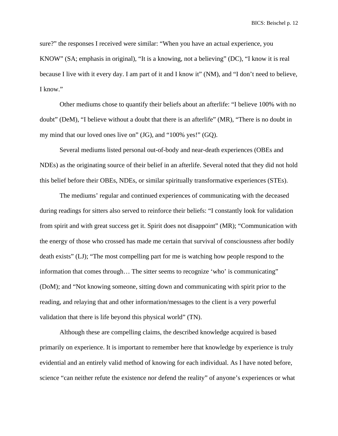sure?" the responses I received were similar: "When you have an actual experience, you KNOW" (SA; emphasis in original), "It is a knowing, not a believing" (DC), "I know it is real because I live with it every day. I am part of it and I know it" (NM), and "I don't need to believe, I know."

Other mediums chose to quantify their beliefs about an afterlife: "I believe 100% with no doubt" (DeM), "I believe without a doubt that there is an afterlife" (MR), "There is no doubt in my mind that our loved ones live on" (JG), and "100% yes!" (GQ).

Several mediums listed personal out-of-body and near-death experiences (OBEs and NDEs) as the originating source of their belief in an afterlife. Several noted that they did not hold this belief before their OBEs, NDEs, or similar spiritually transformative experiences (STEs).

The mediums' regular and continued experiences of communicating with the deceased during readings for sitters also served to reinforce their beliefs: "I constantly look for validation from spirit and with great success get it. Spirit does not disappoint" (MR); "Communication with the energy of those who crossed has made me certain that survival of consciousness after bodily death exists" (LJ); "The most compelling part for me is watching how people respond to the information that comes through… The sitter seems to recognize 'who' is communicating" (DoM); and "Not knowing someone, sitting down and communicating with spirit prior to the reading, and relaying that and other information/messages to the client is a very powerful validation that there is life beyond this physical world" (TN).

Although these are compelling claims, the described knowledge acquired is based primarily on experience. It is important to remember here that knowledge by experience is truly evidential and an entirely valid method of knowing for each individual. As I have noted before, science "can neither refute the existence nor defend the reality" of anyone's experiences or what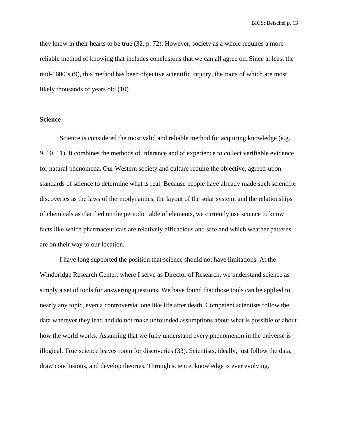they know in their hearts to be true (32, p. 72). However, society as a whole requires a more reliable method of knowing that includes conclusions that we can all agree on. Since at least the mid-1600's (9), this method has been objective scientific inquiry, the roots of which are most likely thousands of years old (10).

### **Science**

Science is considered the most valid and reliable method for acquiring knowledge (e.g., 9, 10, 11). It combines the methods of inference and of experience to collect verifiable evidence for natural phenomena. Our Western society and culture require the objective, agreed-upon standards of science to determine what is real. Because people have already made such scientific discoveries as the laws of thermodynamics, the layout of the solar system, and the relationships of chemicals as clarified on the periodic table of elements, we currently use science to know facts like which pharmaceuticals are relatively efficacious and safe and which weather patterns are on their way to our location.

I have long supported the position that science should not have limitations. At the Windbridge Research Center, where I serve as Director of Research, we understand science as simply a set of tools for answering questions. We have found that those tools can be applied to nearly any topic, even a controversial one like life after death. Competent scientists follow the data wherever they lead and do not make unfounded assumptions about what is possible or about how the world works. Assuming that we fully understand every phenomenon in the universe is illogical. True science leaves room for discoveries (33). Scientists, ideally, just follow the data, draw conclusions, and develop theories. Through science, knowledge is ever evolving.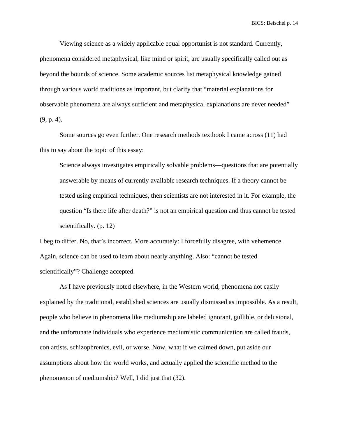Viewing science as a widely applicable equal opportunist is not standard. Currently, phenomena considered metaphysical, like mind or spirit, are usually specifically called out as beyond the bounds of science. Some academic sources list metaphysical knowledge gained through various world traditions as important, but clarify that "material explanations for observable phenomena are always sufficient and metaphysical explanations are never needed" (9, p. 4).

Some sources go even further. One research methods textbook I came across (11) had this to say about the topic of this essay:

Science always investigates empirically solvable problems—questions that are potentially answerable by means of currently available research techniques. If a theory cannot be tested using empirical techniques, then scientists are not interested in it. For example, the question "Is there life after death?" is not an empirical question and thus cannot be tested scientifically. (p. 12)

I beg to differ. No, that's incorrect. More accurately: I forcefully disagree, with vehemence. Again, science can be used to learn about nearly anything. Also: "cannot be tested scientifically"? Challenge accepted.

As I have previously noted elsewhere, in the Western world, phenomena not easily explained by the traditional, established sciences are usually dismissed as impossible. As a result, people who believe in phenomena like mediumship are labeled ignorant, gullible, or delusional, and the unfortunate individuals who experience mediumistic communication are called frauds, con artists, schizophrenics, evil, or worse. Now, what if we calmed down, put aside our assumptions about how the world works, and actually applied the scientific method to the phenomenon of mediumship? Well, I did just that (32).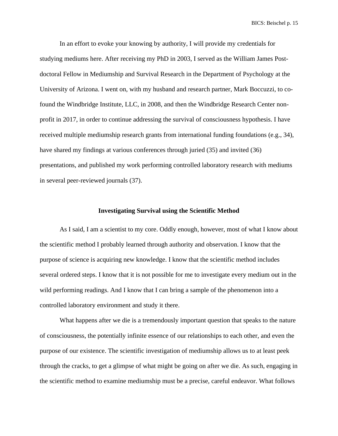In an effort to evoke your knowing by authority, I will provide my credentials for studying mediums here. After receiving my PhD in 2003, I served as the William James Postdoctoral Fellow in Mediumship and Survival Research in the Department of Psychology at the University of Arizona. I went on, with my husband and research partner, Mark Boccuzzi, to cofound the Windbridge Institute, LLC, in 2008, and then the Windbridge Research Center nonprofit in 2017, in order to continue addressing the survival of consciousness hypothesis. I have received multiple mediumship research grants from international funding foundations (e.g., 34), have shared my findings at various conferences through juried (35) and invited (36) presentations, and published my work performing controlled laboratory research with mediums in several peer-reviewed journals (37).

### **Investigating Survival using the Scientific Method**

As I said, I am a scientist to my core. Oddly enough, however, most of what I know about the scientific method I probably learned through authority and observation. I know that the purpose of science is acquiring new knowledge. I know that the scientific method includes several ordered steps. I know that it is not possible for me to investigate every medium out in the wild performing readings. And I know that I can bring a sample of the phenomenon into a controlled laboratory environment and study it there.

What happens after we die is a tremendously important question that speaks to the nature of consciousness, the potentially infinite essence of our relationships to each other, and even the purpose of our existence. The scientific investigation of mediumship allows us to at least peek through the cracks, to get a glimpse of what might be going on after we die. As such, engaging in the scientific method to examine mediumship must be a precise, careful endeavor. What follows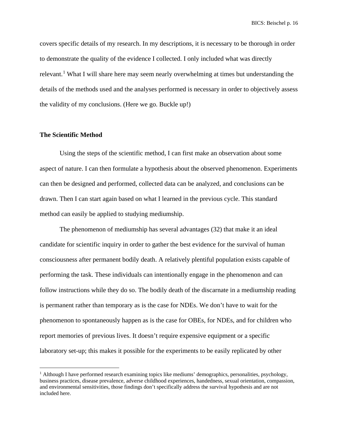covers specific details of my research. In my descriptions, it is necessary to be thorough in order to demonstrate the quality of the evidence I collected. I only included what was directly relevant.<sup>[1](#page-15-0)</sup> What I will share here may seem nearly overwhelming at times but understanding the details of the methods used and the analyses performed is necessary in order to objectively assess the validity of my conclusions. (Here we go. Buckle up!)

### **The Scientific Method**

Using the steps of the scientific method, I can first make an observation about some aspect of nature. I can then formulate a hypothesis about the observed phenomenon. Experiments can then be designed and performed, collected data can be analyzed, and conclusions can be drawn. Then I can start again based on what I learned in the previous cycle. This standard method can easily be applied to studying mediumship.

The phenomenon of mediumship has several advantages (32) that make it an ideal candidate for scientific inquiry in order to gather the best evidence for the survival of human consciousness after permanent bodily death. A relatively plentiful population exists capable of performing the task. These individuals can intentionally engage in the phenomenon and can follow instructions while they do so. The bodily death of the discarnate in a mediumship reading is permanent rather than temporary as is the case for NDEs. We don't have to wait for the phenomenon to spontaneously happen as is the case for OBEs, for NDEs, and for children who report memories of previous lives. It doesn't require expensive equipment or a specific laboratory set-up; this makes it possible for the experiments to be easily replicated by other

<span id="page-15-0"></span><sup>&</sup>lt;sup>1</sup> Although I have performed research examining topics like mediums' demographics, personalities, psychology, business practices, disease prevalence, adverse childhood experiences, handedness, sexual orientation, compassion, and environmental sensitivities, those findings don't specifically address the survival hypothesis and are not included here.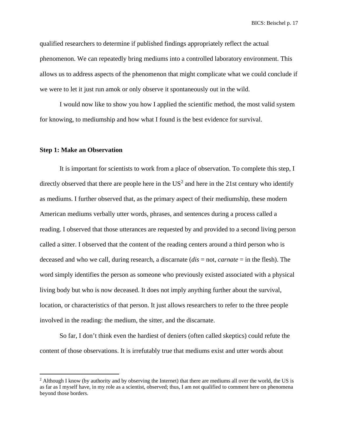qualified researchers to determine if published findings appropriately reflect the actual phenomenon. We can repeatedly bring mediums into a controlled laboratory environment. This allows us to address aspects of the phenomenon that might complicate what we could conclude if we were to let it just run amok or only observe it spontaneously out in the wild.

I would now like to show you how I applied the scientific method, the most valid system for knowing, to mediumship and how what I found is the best evidence for survival.

### **Step 1: Make an Observation**

It is important for scientists to work from a place of observation. To complete this step, I directly observed that there are people here in the  $US^2$  $US^2$  and here in the 21st century who identify as mediums. I further observed that, as the primary aspect of their mediumship, these modern American mediums verbally utter words, phrases, and sentences during a process called a reading. I observed that those utterances are requested by and provided to a second living person called a sitter. I observed that the content of the reading centers around a third person who is deceased and who we call, during research, a discarnate (*dis* = not, *carnate* = in the flesh). The word simply identifies the person as someone who previously existed associated with a physical living body but who is now deceased. It does not imply anything further about the survival, location, or characteristics of that person. It just allows researchers to refer to the three people involved in the reading: the medium, the sitter, and the discarnate.

So far, I don't think even the hardiest of deniers (often called skeptics) could refute the content of those observations. It is irrefutably true that mediums exist and utter words about

<span id="page-16-0"></span><sup>&</sup>lt;sup>2</sup> Although I know (by authority and by observing the Internet) that there are mediums all over the world, the US is as far as I myself have, in my role as a scientist, observed; thus, I am not qualified to comment here on phenomena beyond those borders.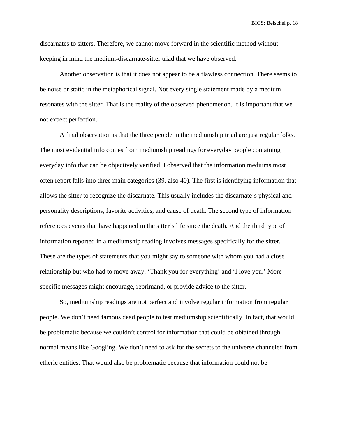discarnates to sitters. Therefore, we cannot move forward in the scientific method without keeping in mind the medium-discarnate-sitter triad that we have observed.

Another observation is that it does not appear to be a flawless connection. There seems to be noise or static in the metaphorical signal. Not every single statement made by a medium resonates with the sitter. That is the reality of the observed phenomenon. It is important that we not expect perfection.

A final observation is that the three people in the mediumship triad are just regular folks. The most evidential info comes from mediumship readings for everyday people containing everyday info that can be objectively verified. I observed that the information mediums most often report falls into three main categories (39, also 40). The first is identifying information that allows the sitter to recognize the discarnate. This usually includes the discarnate's physical and personality descriptions, favorite activities, and cause of death. The second type of information references events that have happened in the sitter's life since the death. And the third type of information reported in a mediumship reading involves messages specifically for the sitter. These are the types of statements that you might say to someone with whom you had a close relationship but who had to move away: 'Thank you for everything' and 'I love you.' More specific messages might encourage, reprimand, or provide advice to the sitter.

So, mediumship readings are not perfect and involve regular information from regular people. We don't need famous dead people to test mediumship scientifically. In fact, that would be problematic because we couldn't control for information that could be obtained through normal means like Googling. We don't need to ask for the secrets to the universe channeled from etheric entities. That would also be problematic because that information could not be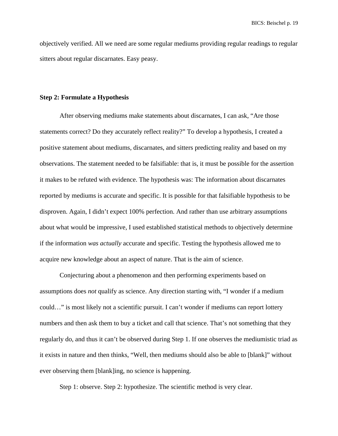objectively verified. All we need are some regular mediums providing regular readings to regular sitters about regular discarnates. Easy peasy.

### **Step 2: Formulate a Hypothesis**

After observing mediums make statements about discarnates, I can ask, "Are those statements correct? Do they accurately reflect reality?" To develop a hypothesis, I created a positive statement about mediums, discarnates, and sitters predicting reality and based on my observations. The statement needed to be falsifiable: that is, it must be possible for the assertion it makes to be refuted with evidence. The hypothesis was: The information about discarnates reported by mediums is accurate and specific. It is possible for that falsifiable hypothesis to be disproven. Again, I didn't expect 100% perfection. And rather than use arbitrary assumptions about what would be impressive, I used established statistical methods to objectively determine if the information *was actually* accurate and specific. Testing the hypothesis allowed me to acquire new knowledge about an aspect of nature. That is the aim of science.

Conjecturing about a phenomenon and then performing experiments based on assumptions does *not* qualify as science. Any direction starting with, "I wonder if a medium could…" is most likely not a scientific pursuit. I can't wonder if mediums can report lottery numbers and then ask them to buy a ticket and call that science. That's not something that they regularly do, and thus it can't be observed during Step 1. If one observes the mediumistic triad as it exists in nature and then thinks, "Well, then mediums should also be able to [blank]" without ever observing them [blank]ing, no science is happening.

Step 1: observe. Step 2: hypothesize. The scientific method is very clear.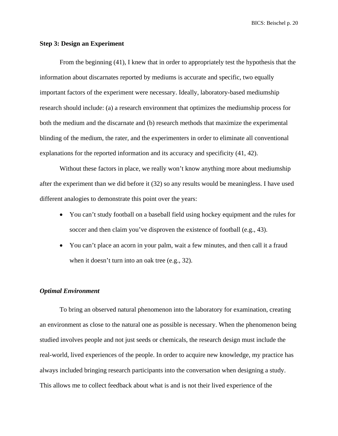### **Step 3: Design an Experiment**

From the beginning (41), I knew that in order to appropriately test the hypothesis that the information about discarnates reported by mediums is accurate and specific, two equally important factors of the experiment were necessary. Ideally, laboratory-based mediumship research should include: (a) a research environment that optimizes the mediumship process for both the medium and the discarnate and (b) research methods that maximize the experimental blinding of the medium, the rater, and the experimenters in order to eliminate all conventional explanations for the reported information and its accuracy and specificity (41, 42).

Without these factors in place, we really won't know anything more about mediumship after the experiment than we did before it (32) so any results would be meaningless. I have used different analogies to demonstrate this point over the years:

- You can't study football on a baseball field using hockey equipment and the rules for soccer and then claim you've disproven the existence of football (e.g., 43).
- You can't place an acorn in your palm, wait a few minutes, and then call it a fraud when it doesn't turn into an oak tree (e.g., 32).

## *Optimal Environment*

To bring an observed natural phenomenon into the laboratory for examination, creating an environment as close to the natural one as possible is necessary. When the phenomenon being studied involves people and not just seeds or chemicals, the research design must include the real-world, lived experiences of the people. In order to acquire new knowledge, my practice has always included bringing research participants into the conversation when designing a study. This allows me to collect feedback about what is and is not their lived experience of the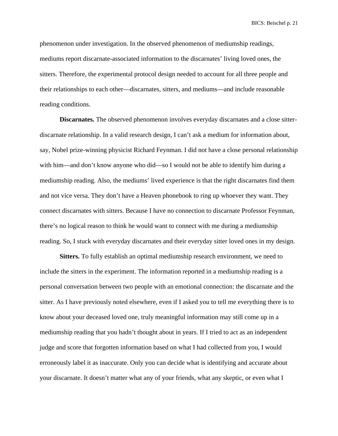phenomenon under investigation. In the observed phenomenon of mediumship readings, mediums report discarnate-associated information to the discarnates' living loved ones, the sitters. Therefore, the experimental protocol design needed to account for all three people and their relationships to each other—discarnates, sitters, and mediums—and include reasonable reading conditions.

**Discarnates.** The observed phenomenon involves everyday discarnates and a close sitterdiscarnate relationship. In a valid research design, I can't ask a medium for information about, say, Nobel prize-winning physicist Richard Feynman. I did not have a close personal relationship with him—and don't know anyone who did—so I would not be able to identify him during a mediumship reading. Also, the mediums' lived experience is that the right discarnates find them and not vice versa. They don't have a Heaven phonebook to ring up whoever they want. They connect discarnates with sitters. Because I have no connection to discarnate Professor Feynman, there's no logical reason to think he would want to connect with me during a mediumship reading. So, I stuck with everyday discarnates and their everyday sitter loved ones in my design.

**Sitters.** To fully establish an optimal mediumship research environment, we need to include the sitters in the experiment. The information reported in a mediumship reading is a personal conversation between two people with an emotional connection: the discarnate and the sitter. As I have previously noted elsewhere, even if I asked you to tell me everything there is to know about your deceased loved one, truly meaningful information may still come up in a mediumship reading that you hadn't thought about in years. If I tried to act as an independent judge and score that forgotten information based on what I had collected from you, I would erroneously label it as inaccurate. Only you can decide what is identifying and accurate about your discarnate. It doesn't matter what any of your friends, what any skeptic, or even what I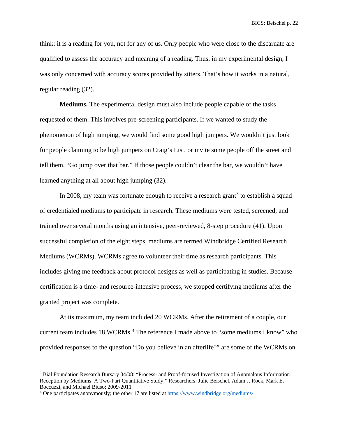think; it is a reading for you, not for any of us. Only people who were close to the discarnate are qualified to assess the accuracy and meaning of a reading. Thus, in my experimental design, I was only concerned with accuracy scores provided by sitters. That's how it works in a natural, regular reading (32).

**Mediums.** The experimental design must also include people capable of the tasks requested of them. This involves pre-screening participants. If we wanted to study the phenomenon of high jumping, we would find some good high jumpers. We wouldn't just look for people claiming to be high jumpers on Craig's List, or invite some people off the street and tell them, "Go jump over that bar." If those people couldn't clear the bar, we wouldn't have learned anything at all about high jumping (32).

In 2008, my team was fortunate enough to receive a research grant<sup>[3](#page-21-0)</sup> to establish a squad of credentialed mediums to participate in research. These mediums were tested, screened, and trained over several months using an intensive, peer-reviewed, 8-step procedure (41). Upon successful completion of the eight steps, mediums are termed Windbridge Certified Research Mediums (WCRMs). WCRMs agree to volunteer their time as research participants. This includes giving me feedback about protocol designs as well as participating in studies. Because certification is a time- and resource-intensive process, we stopped certifying mediums after the granted project was complete.

At its maximum, my team included 20 WCRMs. After the retirement of a couple, our current team includes 18 WCRMs.<sup>[4](#page-21-1)</sup> The reference I made above to "some mediums I know" who provided responses to the question "Do you believe in an afterlife?" are some of the WCRMs on

<span id="page-21-0"></span><sup>3</sup> Bial Foundation Research Bursary 34/08: "Process- and Proof-focused Investigation of Anomalous Information Reception by Mediums: A Two-Part Quantitative Study;" Researchers: Julie Beischel, Adam J. Rock, Mark E. Boccuzzi, and Michael Biuso; 2009-2011

<span id="page-21-1"></span><sup>4</sup> One participates anonymously; the other 17 are listed a[t https://www.windbridge.org/mediums/](https://www.windbridge.org/mediums/)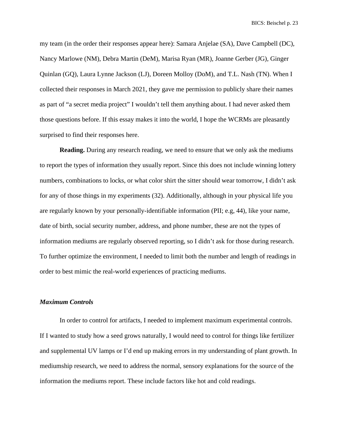my team (in the order their responses appear here): Samara Anjelae (SA), Dave Campbell (DC), Nancy Marlowe (NM), Debra Martin (DeM), Marisa Ryan (MR), Joanne Gerber (JG), Ginger Quinlan (GQ), Laura Lynne Jackson (LJ), Doreen Molloy (DoM), and T.L. Nash (TN). When I collected their responses in March 2021, they gave me permission to publicly share their names as part of "a secret media project" I wouldn't tell them anything about. I had never asked them those questions before. If this essay makes it into the world, I hope the WCRMs are pleasantly surprised to find their responses here.

**Reading.** During any research reading, we need to ensure that we only ask the mediums to report the types of information they usually report. Since this does not include winning lottery numbers, combinations to locks, or what color shirt the sitter should wear tomorrow, I didn't ask for any of those things in my experiments (32). Additionally, although in your physical life you are regularly known by your personally-identifiable information (PII; e.g, 44), like your name, date of birth, social security number, address, and phone number, these are not the types of information mediums are regularly observed reporting, so I didn't ask for those during research. To further optimize the environment, I needed to limit both the number and length of readings in order to best mimic the real-world experiences of practicing mediums.

#### *Maximum Controls*

In order to control for artifacts, I needed to implement maximum experimental controls. If I wanted to study how a seed grows naturally, I would need to control for things like fertilizer and supplemental UV lamps or I'd end up making errors in my understanding of plant growth. In mediumship research, we need to address the normal, sensory explanations for the source of the information the mediums report. These include factors like hot and cold readings.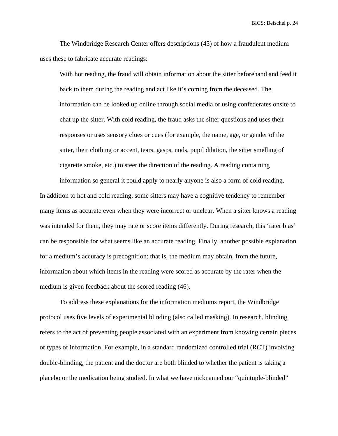The Windbridge Research Center offers descriptions (45) of how a fraudulent medium uses these to fabricate accurate readings:

With hot reading, the fraud will obtain information about the sitter beforehand and feed it back to them during the reading and act like it's coming from the deceased. The information can be looked up online through social media or using confederates onsite to chat up the sitter. With cold reading, the fraud asks the sitter questions and uses their responses or uses sensory clues or cues (for example, the name, age, or gender of the sitter, their clothing or accent, tears, gasps, nods, pupil dilation, the sitter smelling of cigarette smoke, etc.) to steer the direction of the reading. A reading containing

information so general it could apply to nearly anyone is also a form of cold reading. In addition to hot and cold reading, some sitters may have a cognitive tendency to remember many items as accurate even when they were incorrect or unclear. When a sitter knows a reading was intended for them, they may rate or score items differently. During research, this 'rater bias' can be responsible for what seems like an accurate reading. Finally, another possible explanation for a medium's accuracy is precognition: that is, the medium may obtain, from the future, information about which items in the reading were scored as accurate by the rater when the medium is given feedback about the scored reading (46).

To address these explanations for the information mediums report, the Windbridge protocol uses five levels of experimental blinding (also called masking). In research, blinding refers to the act of preventing people associated with an experiment from knowing certain pieces or types of information. For example, in a standard randomized controlled trial (RCT) involving double-blinding, the patient and the doctor are both blinded to whether the patient is taking a placebo or the medication being studied. In what we have nicknamed our "quintuple-blinded"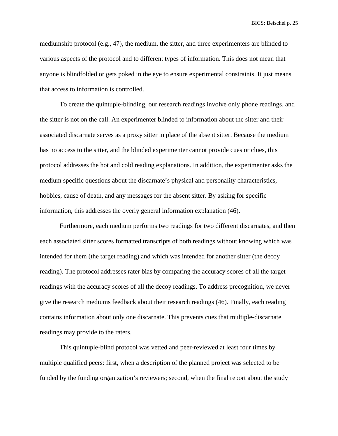mediumship protocol (e.g., 47), the medium, the sitter, and three experimenters are blinded to various aspects of the protocol and to different types of information. This does not mean that anyone is blindfolded or gets poked in the eye to ensure experimental constraints. It just means that access to information is controlled.

To create the quintuple-blinding, our research readings involve only phone readings, and the sitter is not on the call. An experimenter blinded to information about the sitter and their associated discarnate serves as a proxy sitter in place of the absent sitter. Because the medium has no access to the sitter, and the blinded experimenter cannot provide cues or clues, this protocol addresses the hot and cold reading explanations. In addition, the experimenter asks the medium specific questions about the discarnate's physical and personality characteristics, hobbies, cause of death, and any messages for the absent sitter. By asking for specific information, this addresses the overly general information explanation (46).

Furthermore, each medium performs two readings for two different discarnates, and then each associated sitter scores formatted transcripts of both readings without knowing which was intended for them (the target reading) and which was intended for another sitter (the decoy reading). The protocol addresses rater bias by comparing the accuracy scores of all the target readings with the accuracy scores of all the decoy readings. To address precognition, we never give the research mediums feedback about their research readings (46). Finally, each reading contains information about only one discarnate. This prevents cues that multiple-discarnate readings may provide to the raters.

This quintuple-blind protocol was vetted and peer-reviewed at least four times by multiple qualified peers: first, when a description of the planned project was selected to be funded by the funding organization's reviewers; second, when the final report about the study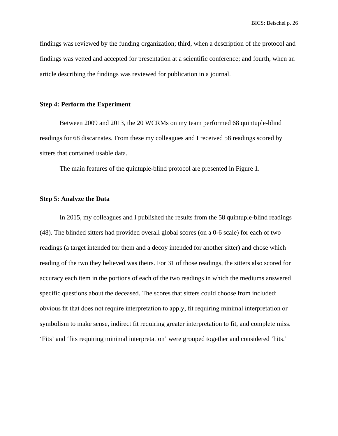findings was reviewed by the funding organization; third, when a description of the protocol and findings was vetted and accepted for presentation at a scientific conference; and fourth, when an article describing the findings was reviewed for publication in a journal.

### **Step 4: Perform the Experiment**

Between 2009 and 2013, the 20 WCRMs on my team performed 68 quintuple-blind readings for 68 discarnates. From these my colleagues and I received 58 readings scored by sitters that contained usable data.

The main features of the quintuple-blind protocol are presented in Figure 1.

### **Step 5: Analyze the Data**

In 2015, my colleagues and I published the results from the 58 quintuple-blind readings (48). The blinded sitters had provided overall global scores (on a 0-6 scale) for each of two readings (a target intended for them and a decoy intended for another sitter) and chose which reading of the two they believed was theirs. For 31 of those readings, the sitters also scored for accuracy each item in the portions of each of the two readings in which the mediums answered specific questions about the deceased. The scores that sitters could choose from included: obvious fit that does not require interpretation to apply, fit requiring minimal interpretation or symbolism to make sense, indirect fit requiring greater interpretation to fit, and complete miss. 'Fits' and 'fits requiring minimal interpretation' were grouped together and considered 'hits.'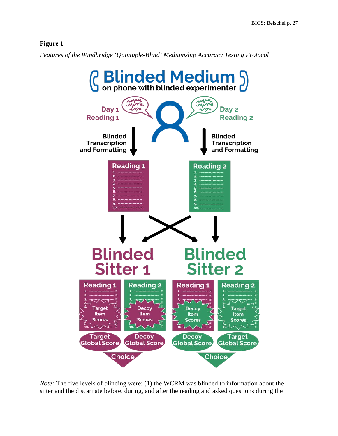# **Figure 1**

*Features of the Windbridge 'Quintuple-Blind' Mediumship Accuracy Testing Protocol*



*Note:* The five levels of blinding were: (1) the WCRM was blinded to information about the sitter and the discarnate before, during, and after the reading and asked questions during the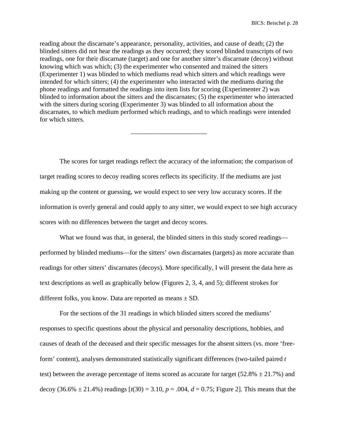reading about the discarnate's appearance, personality, activities, and cause of death; (2) the blinded sitters did not hear the readings as they occurred; they scored blinded transcripts of two readings, one for their discarnate (target) and one for another sitter's discarnate (decoy) without knowing which was which; (3) the experimenter who consented and trained the sitters (Experimenter 1) was blinded to which mediums read which sitters and which readings were intended for which sitters; (4) the experimenter who interacted with the mediums during the phone readings and formatted the readings into item lists for scoring (Experimenter 2) was blinded to information about the sitters and the discarnates; (5) the experimenter who interacted with the sitters during scoring (Experimenter 3) was blinded to all information about the discarnates, to which medium performed which readings, and to which readings were intended for which sitters.

\_\_\_\_\_\_\_\_\_\_\_\_\_\_\_\_\_\_\_\_\_\_\_

The scores for target readings reflect the accuracy of the information; the comparison of target reading scores to decoy reading scores reflects its specificity. If the mediums are just making up the content or guessing, we would expect to see very low accuracy scores. If the information is overly general and could apply to any sitter, we would expect to see high accuracy scores with no differences between the target and decoy scores.

What we found was that, in general, the blinded sitters in this study scored readings performed by blinded mediums—for the sitters' own discarnates (targets) as more accurate than readings for other sitters' discarnates (decoys). More specifically, I will present the data here as text descriptions as well as graphically below (Figures 2, 3, 4, and 5); different strokes for different folks, you know. Data are reported as means  $\pm$  SD.

For the sections of the 31 readings in which blinded sitters scored the mediums' responses to specific questions about the physical and personality descriptions, hobbies, and causes of death of the deceased and their specific messages for the absent sitters (vs. more 'freeform' content), analyses demonstrated statistically significant differences (two-tailed paired *t* test) between the average percentage of items scored as accurate for target (52.8%  $\pm$  21.7%) and decoy (36.6%  $\pm$  21.4%) readings  $[t(30) = 3.10, p = .004, d = 0.75$ ; Figure 2]. This means that the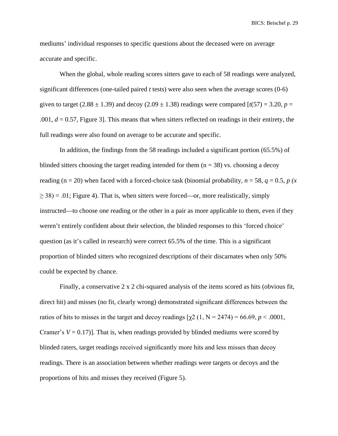mediums' individual responses to specific questions about the deceased were on average accurate and specific.

When the global, whole reading scores sitters gave to each of 58 readings were analyzed, significant differences (one-tailed paired *t* tests) were also seen when the average scores (0-6) given to target (2.88  $\pm$  1.39) and decoy (2.09  $\pm$  1.38) readings were compared [ $t(57) = 3.20$ ,  $p =$ .001, *d* = 0.57, Figure 3]. This means that when sitters reflected on readings in their entirety, the full readings were also found on average to be accurate and specific.

In addition, the findings from the 58 readings included a significant portion (65.5%) of blinded sitters choosing the target reading intended for them  $(n = 38)$  vs. choosing a decoy reading (n = 20) when faced with a forced-choice task (binomial probability,  $n = 58$ ,  $q = 0.5$ ,  $p(x)$  $\geq$  38) = .01; Figure 4). That is, when sitters were forced—or, more realistically, simply instructed—to choose one reading or the other in a pair as more applicable to them, even if they weren't entirely confident about their selection, the blinded responses to this 'forced choice' question (as it's called in research) were correct 65.5% of the time. This is a significant proportion of blinded sitters who recognized descriptions of their discarnates when only 50% could be expected by chance.

Finally, a conservative 2 x 2 chi-squared analysis of the items scored as hits (obvious fit, direct hit) and misses (no fit, clearly wrong) demonstrated significant differences between the ratios of hits to misses in the target and decoy readings  $[\gamma 2 (1, N = 2474) = 66.69, p < .0001,$ Cramer's  $V = 0.17$ ]. That is, when readings provided by blinded mediums were scored by blinded raters, target readings received significantly more hits and less misses than decoy readings. There is an association between whether readings were targets or decoys and the proportions of hits and misses they received (Figure 5).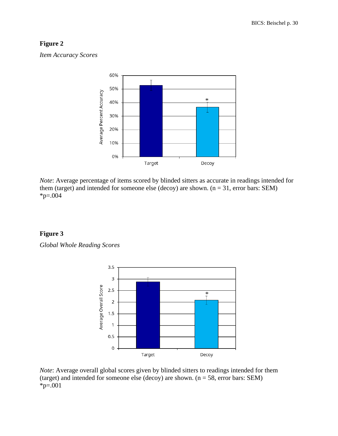# **Figure 2**

*Item Accuracy Scores*



*Note*: Average percentage of items scored by blinded sitters as accurate in readings intended for them (target) and intended for someone else (decoy) are shown.  $(n = 31,$  error bars: SEM)  $*p=.004$ 

# **Figure 3**

*Global Whole Reading Scores*



*Note*: Average overall global scores given by blinded sitters to readings intended for them (target) and intended for someone else (decoy) are shown.  $(n = 58,$  error bars: SEM)  $*p=.001$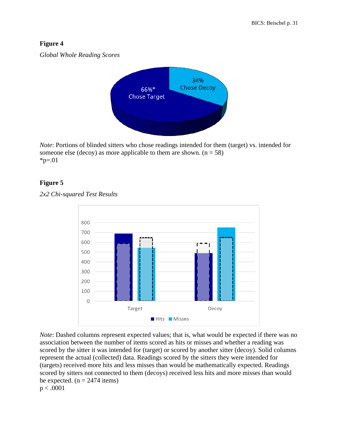# **Figure 4**

*Global Whole Reading Scores*



*Note*: Portions of blinded sitters who chose readings intended for them (target) vs. intended for someone else (decoy) as more applicable to them are shown.  $(n = 58)$  $*_{p=.01}$ 

# **Figure 5**





*Note*: Dashed columns represent expected values; that is, what would be expected if there was no association between the number of items scored as hits or misses and whether a reading was scored by the sitter it was intended for (target) or scored by another sitter (decoy). Solid columns represent the actual (collected) data. Readings scored by the sitters they were intended for (targets) received more hits and less misses than would be mathematically expected. Readings scored by sitters not connected to them (decoys) received less hits and more misses than would be expected.  $(n = 2474$  items) p < .0001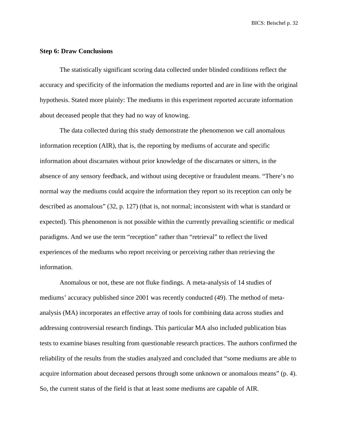### **Step 6: Draw Conclusions**

The statistically significant scoring data collected under blinded conditions reflect the accuracy and specificity of the information the mediums reported and are in line with the original hypothesis. Stated more plainly: The mediums in this experiment reported accurate information about deceased people that they had no way of knowing.

The data collected during this study demonstrate the phenomenon we call anomalous information reception (AIR), that is, the reporting by mediums of accurate and specific information about discarnates without prior knowledge of the discarnates or sitters, in the absence of any sensory feedback, and without using deceptive or fraudulent means. "There's no normal way the mediums could acquire the information they report so its reception can only be described as anomalous" (32, p. 127) (that is, not normal; inconsistent with what is standard or expected). This phenomenon is not possible within the currently prevailing scientific or medical paradigms. And we use the term "reception" rather than "retrieval" to reflect the lived experiences of the mediums who report receiving or perceiving rather than retrieving the information.

Anomalous or not, these are not fluke findings. A meta-analysis of 14 studies of mediums' accuracy published since 2001 was recently conducted (49). The method of metaanalysis (MA) incorporates an effective array of tools for combining data across studies and addressing controversial research findings. This particular MA also included publication bias tests to examine biases resulting from questionable research practices. The authors confirmed the reliability of the results from the studies analyzed and concluded that "some mediums are able to acquire information about deceased persons through some unknown or anomalous means" (p. 4). So, the current status of the field is that at least some mediums are capable of AIR.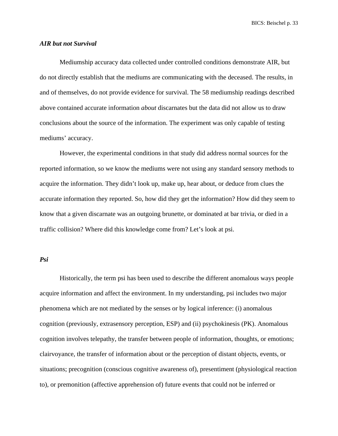### *AIR but not Survival*

Mediumship accuracy data collected under controlled conditions demonstrate AIR, but do not directly establish that the mediums are communicating with the deceased. The results, in and of themselves, do not provide evidence for survival. The 58 mediumship readings described above contained accurate information *about* discarnates but the data did not allow us to draw conclusions about the source of the information. The experiment was only capable of testing mediums' accuracy.

However, the experimental conditions in that study did address normal sources for the reported information, so we know the mediums were not using any standard sensory methods to acquire the information. They didn't look up, make up, hear about, or deduce from clues the accurate information they reported. So, how did they get the information? How did they seem to know that a given discarnate was an outgoing brunette, or dominated at bar trivia, or died in a traffic collision? Where did this knowledge come from? Let's look at psi.

### *Psi*

Historically, the term psi has been used to describe the different anomalous ways people acquire information and affect the environment. In my understanding, psi includes two major phenomena which are not mediated by the senses or by logical inference: (i) anomalous cognition (previously, extrasensory perception, ESP) and (ii) psychokinesis (PK). Anomalous cognition involves telepathy, the transfer between people of information, thoughts, or emotions; clairvoyance, the transfer of information about or the perception of distant objects, events, or situations; precognition (conscious cognitive awareness of), presentiment (physiological reaction to), or premonition (affective apprehension of) future events that could not be inferred or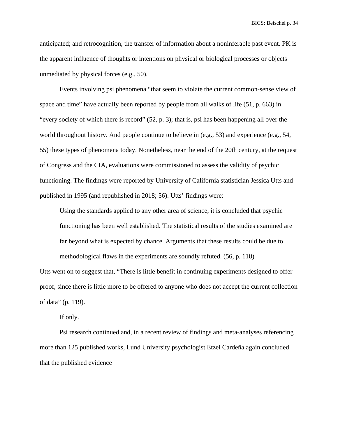anticipated; and retrocognition, the transfer of information about a noninferable past event. PK is the apparent influence of thoughts or intentions on physical or biological processes or objects unmediated by physical forces (e.g., 50).

Events involving psi phenomena "that seem to violate the current common-sense view of space and time" have actually been reported by people from all walks of life (51, p. 663) in "every society of which there is record" (52, p. 3); that is, psi has been happening all over the world throughout history. And people continue to believe in (e.g., 53) and experience (e.g., 54, 55) these types of phenomena today. Nonetheless, near the end of the 20th century, at the request of Congress and the CIA, evaluations were commissioned to assess the validity of psychic functioning. The findings were reported by University of California statistician Jessica Utts and published in 1995 (and republished in 2018; 56). Utts' findings were:

Using the standards applied to any other area of science, it is concluded that psychic functioning has been well established. The statistical results of the studies examined are far beyond what is expected by chance. Arguments that these results could be due to methodological flaws in the experiments are soundly refuted. (56, p. 118)

Utts went on to suggest that, "There is little benefit in continuing experiments designed to offer proof, since there is little more to be offered to anyone who does not accept the current collection of data" (p. 119).

If only.

Psi research continued and, in a recent review of findings and meta-analyses referencing more than 125 published works, Lund University psychologist Etzel Cardeña again concluded that the published evidence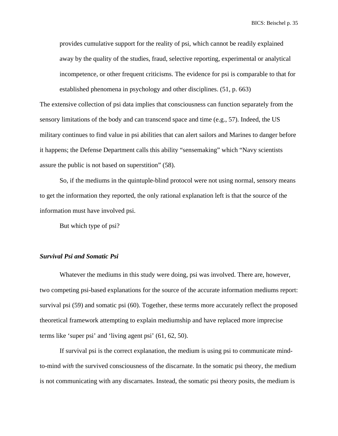provides cumulative support for the reality of psi, which cannot be readily explained away by the quality of the studies, fraud, selective reporting, experimental or analytical incompetence, or other frequent criticisms. The evidence for psi is comparable to that for established phenomena in psychology and other disciplines. (51, p. 663)

The extensive collection of psi data implies that consciousness can function separately from the sensory limitations of the body and can transcend space and time (e.g., 57). Indeed, the US military continues to find value in psi abilities that can alert sailors and Marines to danger before it happens; the Defense Department calls this ability "sensemaking" which "Navy scientists assure the public is not based on superstition" (58).

So, if the mediums in the quintuple-blind protocol were not using normal, sensory means to get the information they reported, the only rational explanation left is that the source of the information must have involved psi.

But which type of psi?

### *Survival Psi and Somatic Psi*

Whatever the mediums in this study were doing, psi was involved. There are, however, two competing psi-based explanations for the source of the accurate information mediums report: survival psi (59) and somatic psi (60). Together, these terms more accurately reflect the proposed theoretical framework attempting to explain mediumship and have replaced more imprecise terms like 'super psi' and 'living agent psi' (61, 62, 50).

If survival psi is the correct explanation, the medium is using psi to communicate mindto-mind *with* the survived consciousness of the discarnate. In the somatic psi theory, the medium is not communicating with any discarnates. Instead, the somatic psi theory posits, the medium is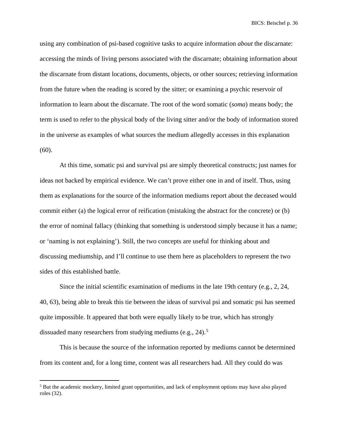using any combination of psi-based cognitive tasks to acquire information *about* the discarnate: accessing the minds of living persons associated with the discarnate; obtaining information about the discarnate from distant locations, documents, objects, or other sources; retrieving information from the future when the reading is scored by the sitter; or examining a psychic reservoir of information to learn about the discarnate. The root of the word somatic (*soma*) means body; the term is used to refer to the physical body of the living sitter and/or the body of information stored in the universe as examples of what sources the medium allegedly accesses in this explanation (60).

At this time, somatic psi and survival psi are simply theoretical constructs; just names for ideas not backed by empirical evidence. We can't prove either one in and of itself. Thus, using them as explanations for the source of the information mediums report about the deceased would commit either (a) the logical error of reification (mistaking the abstract for the concrete) or (b) the error of nominal fallacy (thinking that something is understood simply because it has a name; or 'naming is not explaining'). Still, the two concepts are useful for thinking about and discussing mediumship, and I'll continue to use them here as placeholders to represent the two sides of this established battle.

Since the initial scientific examination of mediums in the late 19th century (e.g., 2, 24, 40, 63), being able to break this tie between the ideas of survival psi and somatic psi has seemed quite impossible. It appeared that both were equally likely to be true, which has strongly dissuaded many researchers from studying mediums (e.g.,  $24$ ).<sup>[5](#page-35-0)</sup>

This is because the source of the information reported by mediums cannot be determined from its content and, for a long time, content was all researchers had. All they could do was

<span id="page-35-0"></span><sup>5</sup> But the academic mockery, limited grant opportunities, and lack of employment options may have also played roles (32).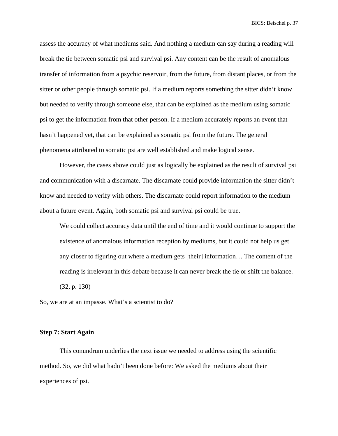assess the accuracy of what mediums said. And nothing a medium can say during a reading will break the tie between somatic psi and survival psi. Any content can be the result of anomalous transfer of information from a psychic reservoir, from the future, from distant places, or from the sitter or other people through somatic psi. If a medium reports something the sitter didn't know but needed to verify through someone else, that can be explained as the medium using somatic psi to get the information from that other person. If a medium accurately reports an event that hasn't happened yet, that can be explained as somatic psi from the future. The general phenomena attributed to somatic psi are well established and make logical sense.

However, the cases above could just as logically be explained as the result of survival psi and communication with a discarnate. The discarnate could provide information the sitter didn't know and needed to verify with others. The discarnate could report information to the medium about a future event. Again, both somatic psi and survival psi could be true.

We could collect accuracy data until the end of time and it would continue to support the existence of anomalous information reception by mediums, but it could not help us get any closer to figuring out where a medium gets [their] information… The content of the reading is irrelevant in this debate because it can never break the tie or shift the balance. (32, p. 130)

So, we are at an impasse. What's a scientist to do?

## **Step 7: Start Again**

This conundrum underlies the next issue we needed to address using the scientific method. So, we did what hadn't been done before: We asked the mediums about their experiences of psi.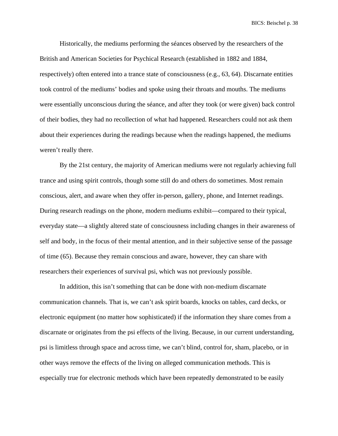Historically, the mediums performing the séances observed by the researchers of the British and American Societies for Psychical Research (established in 1882 and 1884, respectively) often entered into a trance state of consciousness (e.g., 63, 64). Discarnate entities took control of the mediums' bodies and spoke using their throats and mouths. The mediums were essentially unconscious during the séance, and after they took (or were given) back control of their bodies, they had no recollection of what had happened. Researchers could not ask them about their experiences during the readings because when the readings happened, the mediums weren't really there.

By the 21st century, the majority of American mediums were not regularly achieving full trance and using spirit controls, though some still do and others do sometimes. Most remain conscious, alert, and aware when they offer in-person, gallery, phone, and Internet readings. During research readings on the phone, modern mediums exhibit—compared to their typical, everyday state—a slightly altered state of consciousness including changes in their awareness of self and body, in the focus of their mental attention, and in their subjective sense of the passage of time (65). Because they remain conscious and aware, however, they can share with researchers their experiences of survival psi, which was not previously possible.

In addition, this isn't something that can be done with non-medium discarnate communication channels. That is, we can't ask spirit boards, knocks on tables, card decks, or electronic equipment (no matter how sophisticated) if the information they share comes from a discarnate or originates from the psi effects of the living. Because, in our current understanding, psi is limitless through space and across time, we can't blind, control for, sham, placebo, or in other ways remove the effects of the living on alleged communication methods. This is especially true for electronic methods which have been repeatedly demonstrated to be easily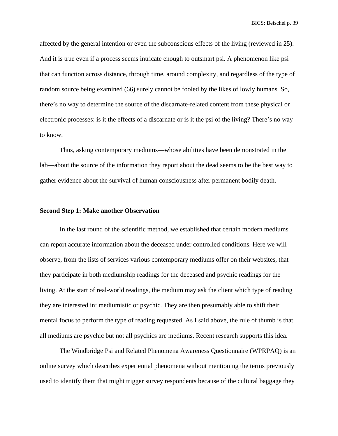affected by the general intention or even the subconscious effects of the living (reviewed in 25). And it is true even if a process seems intricate enough to outsmart psi. A phenomenon like psi that can function across distance, through time, around complexity, and regardless of the type of random source being examined (66) surely cannot be fooled by the likes of lowly humans. So, there's no way to determine the source of the discarnate-related content from these physical or electronic processes: is it the effects of a discarnate or is it the psi of the living? There's no way to know.

Thus, asking contemporary mediums—whose abilities have been demonstrated in the lab—about the source of the information they report about the dead seems to be the best way to gather evidence about the survival of human consciousness after permanent bodily death.

## **Second Step 1: Make another Observation**

In the last round of the scientific method, we established that certain modern mediums can report accurate information about the deceased under controlled conditions. Here we will observe, from the lists of services various contemporary mediums offer on their websites, that they participate in both mediumship readings for the deceased and psychic readings for the living. At the start of real-world readings, the medium may ask the client which type of reading they are interested in: mediumistic or psychic. They are then presumably able to shift their mental focus to perform the type of reading requested. As I said above, the rule of thumb is that all mediums are psychic but not all psychics are mediums. Recent research supports this idea.

The Windbridge Psi and Related Phenomena Awareness Questionnaire (WPRPAQ) is an online survey which describes experiential phenomena without mentioning the terms previously used to identify them that might trigger survey respondents because of the cultural baggage they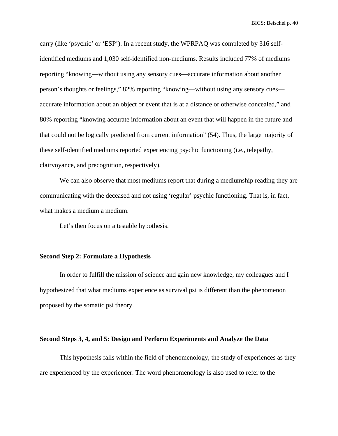carry (like 'psychic' or 'ESP'). In a recent study, the WPRPAQ was completed by 316 selfidentified mediums and 1,030 self-identified non-mediums. Results included 77% of mediums reporting "knowing—without using any sensory cues—accurate information about another person's thoughts or feelings," 82% reporting "knowing—without using any sensory cues accurate information about an object or event that is at a distance or otherwise concealed," and 80% reporting "knowing accurate information about an event that will happen in the future and that could not be logically predicted from current information" (54). Thus, the large majority of these self-identified mediums reported experiencing psychic functioning (i.e., telepathy, clairvoyance, and precognition, respectively).

We can also observe that most mediums report that during a mediumship reading they are communicating with the deceased and not using 'regular' psychic functioning. That is, in fact, what makes a medium a medium.

Let's then focus on a testable hypothesis.

### **Second Step 2: Formulate a Hypothesis**

In order to fulfill the mission of science and gain new knowledge, my colleagues and I hypothesized that what mediums experience as survival psi is different than the phenomenon proposed by the somatic psi theory.

### **Second Steps 3, 4, and 5: Design and Perform Experiments and Analyze the Data**

This hypothesis falls within the field of phenomenology, the study of experiences as they are experienced by the experiencer. The word phenomenology is also used to refer to the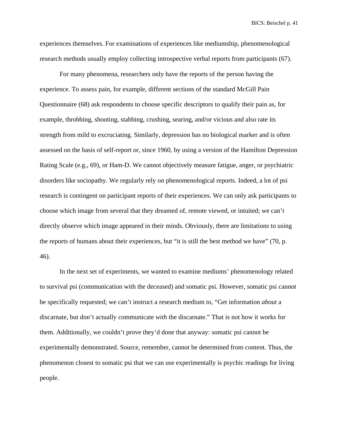experiences themselves. For examinations of experiences like mediumship, phenomenological research methods usually employ collecting introspective verbal reports from participants (67).

For many phenomena, researchers only have the reports of the person having the experience. To assess pain, for example, different sections of the standard McGill Pain Questionnaire (68) ask respondents to choose specific descriptors to qualify their pain as, for example, throbbing, shooting, stabbing, crushing, searing, and/or vicious and also rate its strength from mild to excruciating. Similarly, depression has no biological marker and is often assessed on the basis of self-report or, since 1960, by using a version of the Hamilton Depression Rating Scale (e.g., 69), or Ham-D. We cannot objectively measure fatigue, anger, or psychiatric disorders like sociopathy. We regularly rely on phenomenological reports. Indeed, a lot of psi research is contingent on participant reports of their experiences. We can only ask participants to choose which image from several that they dreamed of, remote viewed, or intuited; we can't directly observe which image appeared in their minds. Obviously, there are limitations to using the reports of humans about their experiences, but "it is still the best method we have" (70, p. 46).

In the next set of experiments, we wanted to examine mediums' phenomenology related to survival psi (communication with the deceased) and somatic psi. However, somatic psi cannot be specifically requested; we can't instruct a research medium to, "Get information *about* a discarnate, but don't actually communicate *with* the discarnate." That is not how it works for them. Additionally, we couldn't prove they'd done that anyway: somatic psi cannot be experimentally demonstrated. Source, remember, cannot be determined from content. Thus, the phenomenon closest to somatic psi that we can use experimentally is psychic readings for living people.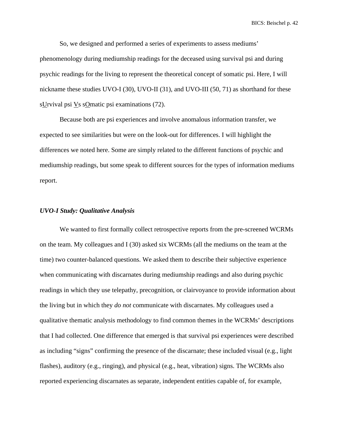So, we designed and performed a series of experiments to assess mediums' phenomenology during mediumship readings for the deceased using survival psi and during psychic readings for the living to represent the theoretical concept of somatic psi. Here, I will nickname these studies UVO-I (30), UVO-II (31), and UVO-III (50, 71) as shorthand for these sUrvival psi Vs sOmatic psi examinations (72).

Because both are psi experiences and involve anomalous information transfer, we expected to see similarities but were on the look-out for differences. I will highlight the differences we noted here. Some are simply related to the different functions of psychic and mediumship readings, but some speak to different sources for the types of information mediums report.

### *UVO-I Study: Qualitative Analysis*

We wanted to first formally collect retrospective reports from the pre-screened WCRMs on the team. My colleagues and I (30) asked six WCRMs (all the mediums on the team at the time) two counter-balanced questions. We asked them to describe their subjective experience when communicating with discarnates during mediumship readings and also during psychic readings in which they use telepathy, precognition, or clairvoyance to provide information about the living but in which they *do not* communicate with discarnates. My colleagues used a qualitative thematic analysis methodology to find common themes in the WCRMs' descriptions that I had collected. One difference that emerged is that survival psi experiences were described as including "signs" confirming the presence of the discarnate; these included visual (e.g., light flashes), auditory (e.g., ringing), and physical (e.g., heat, vibration) signs. The WCRMs also reported experiencing discarnates as separate, independent entities capable of, for example,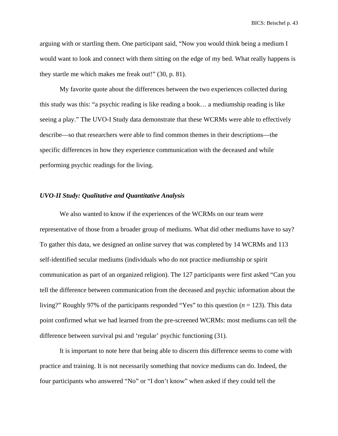arguing with or startling them. One participant said, "Now you would think being a medium I would want to look and connect with them sitting on the edge of my bed. What really happens is they startle me which makes me freak out!" (30, p. 81).

My favorite quote about the differences between the two experiences collected during this study was this: "a psychic reading is like reading a book… a mediumship reading is like seeing a play." The UVO-I Study data demonstrate that these WCRMs were able to effectively describe—so that researchers were able to find common themes in their descriptions—the specific differences in how they experience communication with the deceased and while performing psychic readings for the living.

## *UVO-II Study: Qualitative and Quantitative Analysis*

We also wanted to know if the experiences of the WCRMs on our team were representative of those from a broader group of mediums. What did other mediums have to say? To gather this data, we designed an online survey that was completed by 14 WCRMs and 113 self-identified secular mediums (individuals who do not practice mediumship or spirit communication as part of an organized religion). The 127 participants were first asked "Can you tell the difference between communication from the deceased and psychic information about the living?" Roughly 97% of the participants responded "Yes" to this question (*n* = 123). This data point confirmed what we had learned from the pre-screened WCRMs: most mediums can tell the difference between survival psi and 'regular' psychic functioning (31).

It is important to note here that being able to discern this difference seems to come with practice and training. It is not necessarily something that novice mediums can do. Indeed, the four participants who answered "No" or "I don't know" when asked if they could tell the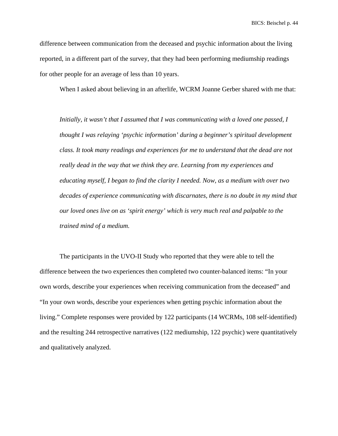difference between communication from the deceased and psychic information about the living reported, in a different part of the survey, that they had been performing mediumship readings for other people for an average of less than 10 years.

When I asked about believing in an afterlife, WCRM Joanne Gerber shared with me that:

*Initially, it wasn't that I assumed that I was communicating with a loved one passed, I thought I was relaying 'psychic information' during a beginner's spiritual development class. It took many readings and experiences for me to understand that the dead are not really dead in the way that we think they are. Learning from my experiences and educating myself, I began to find the clarity I needed. Now, as a medium with over two decades of experience communicating with discarnates, there is no doubt in my mind that our loved ones live on as 'spirit energy' which is very much real and palpable to the trained mind of a medium.*

The participants in the UVO-II Study who reported that they were able to tell the difference between the two experiences then completed two counter-balanced items: "In your own words, describe your experiences when receiving communication from the deceased" and "In your own words, describe your experiences when getting psychic information about the living." Complete responses were provided by 122 participants (14 WCRMs, 108 self-identified) and the resulting 244 retrospective narratives (122 mediumship, 122 psychic) were quantitatively and qualitatively analyzed.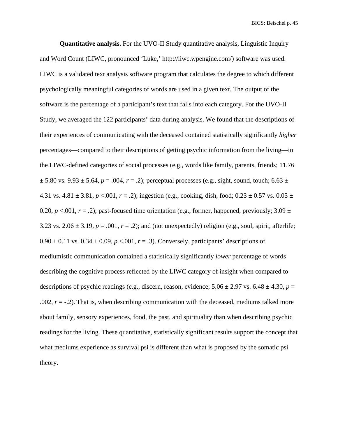**Quantitative analysis.** For the UVO-II Study quantitative analysis, Linguistic Inquiry and Word Count (LIWC, pronounced 'Luke,' http://liwc.wpengine.com/) software was used. LIWC is a validated text analysis software program that calculates the degree to which different psychologically meaningful categories of words are used in a given text. The output of the software is the percentage of a participant's text that falls into each category. For the UVO-II Study, we averaged the 122 participants' data during analysis. We found that the descriptions of their experiences of communicating with the deceased contained statistically significantly *higher* percentages—compared to their descriptions of getting psychic information from the living—in the LIWC-defined categories of social processes (e.g., words like family, parents, friends; 11.76  $\pm$  5.80 vs. 9.93  $\pm$  5.64, *p* = .004, *r* = .2); perceptual processes (e.g., sight, sound, touch; 6.63  $\pm$ 4.31 vs.  $4.81 \pm 3.81$ ,  $p < .001$ ,  $r = .2$ ); ingestion (e.g., cooking, dish, food;  $0.23 \pm 0.57$  vs.  $0.05 \pm 0.57$ 0.20,  $p < 0.01$ ,  $r = .2$ ); past-focused time orientation (e.g., former, happened, previously; 3.09  $\pm$ 3.23 vs.  $2.06 \pm 3.19$ ,  $p = .001$ ,  $r = .2$ ); and (not unexpectedly) religion (e.g., soul, spirit, afterlife;  $0.90 \pm 0.11$  vs.  $0.34 \pm 0.09$ ,  $p < 0.01$ ,  $r = .3$ ). Conversely, participants' descriptions of mediumistic communication contained a statistically significantly *lower* percentage of words describing the cognitive process reflected by the LIWC category of insight when compared to descriptions of psychic readings (e.g., discern, reason, evidence;  $5.06 \pm 2.97$  vs.  $6.48 \pm 4.30$ ,  $p =$ .002,  $r = -0.2$ ). That is, when describing communication with the deceased, mediums talked more about family, sensory experiences, food, the past, and spirituality than when describing psychic readings for the living. These quantitative, statistically significant results support the concept that what mediums experience as survival psi is different than what is proposed by the somatic psi theory.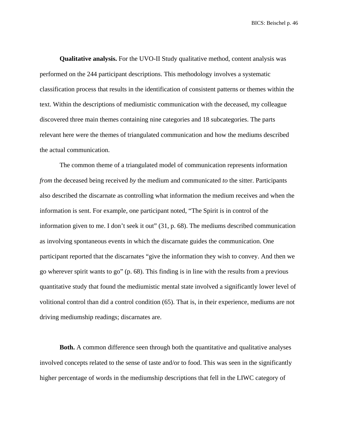**Qualitative analysis.** For the UVO-II Study qualitative method, content analysis was performed on the 244 participant descriptions. This methodology involves a systematic classification process that results in the identification of consistent patterns or themes within the text. Within the descriptions of mediumistic communication with the deceased, my colleague discovered three main themes containing nine categories and 18 subcategories. The parts relevant here were the themes of triangulated communication and how the mediums described the actual communication.

The common theme of a triangulated model of communication represents information *from* the deceased being received *by* the medium and communicated *to* the sitter. Participants also described the discarnate as controlling what information the medium receives and when the information is sent. For example, one participant noted, "The Spirit is in control of the information given to me. I don't seek it out" (31, p. 68). The mediums described communication as involving spontaneous events in which the discarnate guides the communication. One participant reported that the discarnates "give the information they wish to convey. And then we go wherever spirit wants to go" (p. 68). This finding is in line with the results from a previous quantitative study that found the mediumistic mental state involved a significantly lower level of volitional control than did a control condition (65). That is, in their experience, mediums are not driving mediumship readings; discarnates are.

**Both.** A common difference seen through both the quantitative and qualitative analyses involved concepts related to the sense of taste and/or to food. This was seen in the significantly higher percentage of words in the mediumship descriptions that fell in the LIWC category of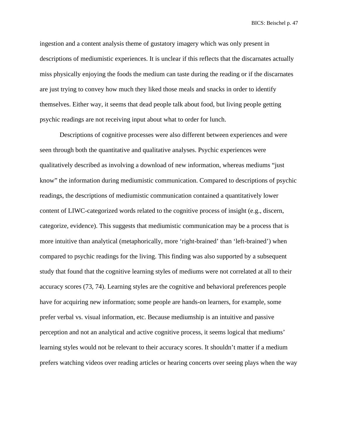ingestion and a content analysis theme of gustatory imagery which was only present in descriptions of mediumistic experiences. It is unclear if this reflects that the discarnates actually miss physically enjoying the foods the medium can taste during the reading or if the discarnates are just trying to convey how much they liked those meals and snacks in order to identify themselves. Either way, it seems that dead people talk about food, but living people getting psychic readings are not receiving input about what to order for lunch.

Descriptions of cognitive processes were also different between experiences and were seen through both the quantitative and qualitative analyses. Psychic experiences were qualitatively described as involving a download of new information, whereas mediums "just know" the information during mediumistic communication. Compared to descriptions of psychic readings, the descriptions of mediumistic communication contained a quantitatively lower content of LIWC-categorized words related to the cognitive process of insight (e.g., discern, categorize, evidence). This suggests that mediumistic communication may be a process that is more intuitive than analytical (metaphorically, more 'right-brained' than 'left-brained') when compared to psychic readings for the living. This finding was also supported by a subsequent study that found that the cognitive learning styles of mediums were not correlated at all to their accuracy scores (73, 74). Learning styles are the cognitive and behavioral preferences people have for acquiring new information; some people are hands-on learners, for example, some prefer verbal vs. visual information, etc. Because mediumship is an intuitive and passive perception and not an analytical and active cognitive process, it seems logical that mediums' learning styles would not be relevant to their accuracy scores. It shouldn't matter if a medium prefers watching videos over reading articles or hearing concerts over seeing plays when the way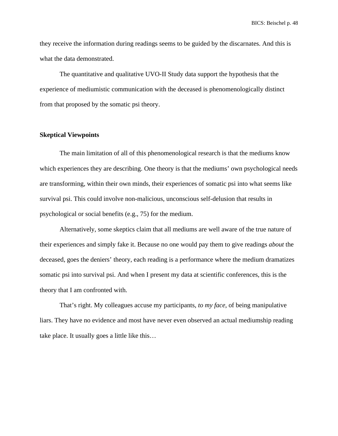they receive the information during readings seems to be guided by the discarnates. And this is what the data demonstrated.

The quantitative and qualitative UVO-II Study data support the hypothesis that the experience of mediumistic communication with the deceased is phenomenologically distinct from that proposed by the somatic psi theory.

### **Skeptical Viewpoints**

The main limitation of all of this phenomenological research is that the mediums know which experiences they are describing. One theory is that the mediums' own psychological needs are transforming, within their own minds, their experiences of somatic psi into what seems like survival psi. This could involve non-malicious, unconscious self-delusion that results in psychological or social benefits (e.g., 75) for the medium.

Alternatively, some skeptics claim that all mediums are well aware of the true nature of their experiences and simply fake it. Because no one would pay them to give readings *about* the deceased, goes the deniers' theory, each reading is a performance where the medium dramatizes somatic psi into survival psi. And when I present my data at scientific conferences, this is the theory that I am confronted with.

That's right. My colleagues accuse my participants, *to my face*, of being manipulative liars. They have no evidence and most have never even observed an actual mediumship reading take place. It usually goes a little like this…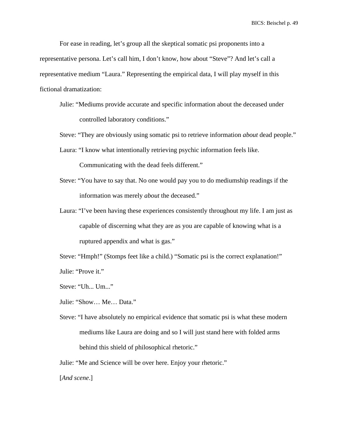For ease in reading, let's group all the skeptical somatic psi proponents into a representative persona. Let's call him, I don't know, how about "Steve"? And let's call a representative medium "Laura." Representing the empirical data, I will play myself in this fictional dramatization:

Julie: "Mediums provide accurate and specific information about the deceased under controlled laboratory conditions."

Steve: "They are obviously using somatic psi to retrieve information *about* dead people."

Laura: "I know what intentionally retrieving psychic information feels like.

Communicating with the dead feels different."

- Steve: "You have to say that. No one would pay you to do mediumship readings if the information was merely *about* the deceased."
- Laura: "I've been having these experiences consistently throughout my life. I am just as capable of discerning what they are as you are capable of knowing what is a ruptured appendix and what is gas."

Steve: "Hmph!" (Stomps feet like a child.) "Somatic psi is the correct explanation!" Julie: "Prove it."

Steve: "Uh... Um..."

Julie: "Show… Me… Data."

Steve: "I have absolutely no empirical evidence that somatic psi is what these modern mediums like Laura are doing and so I will just stand here with folded arms behind this shield of philosophical rhetoric."

Julie: "Me and Science will be over here. Enjoy your rhetoric."

[*And scene*.]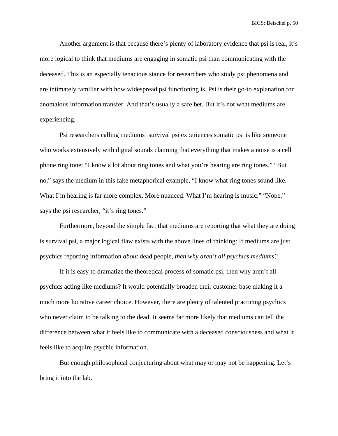Another argument is that because there's plenty of laboratory evidence that psi is real, it's more logical to think that mediums are engaging in somatic psi than communicating with the deceased. This is an especially tenacious stance for researchers who study psi phenomena and are intimately familiar with how widespread psi functioning is. Psi is their go-to explanation for anomalous information transfer. And that's usually a safe bet. But it's not what mediums are experiencing.

Psi researchers calling mediums' survival psi experiences somatic psi is like someone who works extensively with digital sounds claiming that everything that makes a noise is a cell phone ring tone: "I know a lot about ring tones and what you're hearing are ring tones." "But no," says the medium in this fake metaphorical example, "I know what ring tones sound like. What I'm hearing is far more complex. More nuanced. What I'm hearing is music." "Nope," says the psi researcher, "it's ring tones."

Furthermore, beyond the simple fact that mediums are reporting that what they are doing is survival psi, a major logical flaw exists with the above lines of thinking: If mediums are just psychics reporting information *about* dead people, *then why aren't all psychics mediums?*

If it is easy to dramatize the theoretical process of somatic psi, then why aren't all psychics acting like mediums? It would potentially broaden their customer base making it a much more lucrative career choice. However, there are plenty of talented practicing psychics who never claim to be talking to the dead. It seems far more likely that mediums can tell the difference between what it feels like to communicate with a deceased consciousness and what it feels like to acquire psychic information.

But enough philosophical conjecturing about what may or may not be happening. Let's bring it into the lab.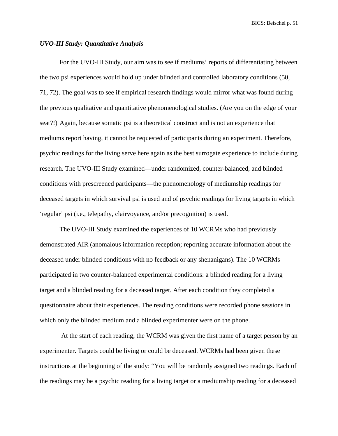### *UVO-III Study: Quantitative Analysis*

For the UVO-III Study, our aim was to see if mediums' reports of differentiating between the two psi experiences would hold up under blinded and controlled laboratory conditions (50, 71, 72). The goal was to see if empirical research findings would mirror what was found during the previous qualitative and quantitative phenomenological studies. (Are you on the edge of your seat?!) Again, because somatic psi is a theoretical construct and is not an experience that mediums report having, it cannot be requested of participants during an experiment. Therefore, psychic readings for the living serve here again as the best surrogate experience to include during research. The UVO-III Study examined—under randomized, counter-balanced, and blinded conditions with prescreened participants—the phenomenology of mediumship readings for deceased targets in which survival psi is used and of psychic readings for living targets in which 'regular' psi (i.e., telepathy, clairvoyance, and/or precognition) is used.

The UVO-III Study examined the experiences of 10 WCRMs who had previously demonstrated AIR (anomalous information reception; reporting accurate information about the deceased under blinded conditions with no feedback or any shenanigans). The 10 WCRMs participated in two counter-balanced experimental conditions: a blinded reading for a living target and a blinded reading for a deceased target. After each condition they completed a questionnaire about their experiences. The reading conditions were recorded phone sessions in which only the blinded medium and a blinded experimenter were on the phone.

At the start of each reading, the WCRM was given the first name of a target person by an experimenter. Targets could be living or could be deceased. WCRMs had been given these instructions at the beginning of the study: "You will be randomly assigned two readings. Each of the readings may be a psychic reading for a living target or a mediumship reading for a deceased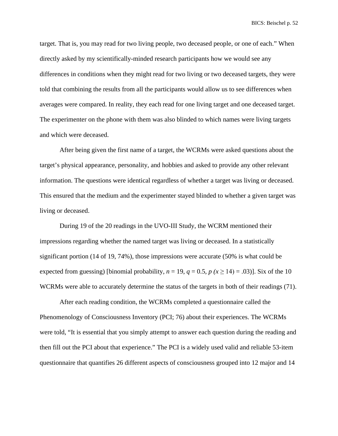target. That is, you may read for two living people, two deceased people, or one of each." When directly asked by my scientifically-minded research participants how we would see any differences in conditions when they might read for two living or two deceased targets, they were told that combining the results from all the participants would allow us to see differences when averages were compared. In reality, they each read for one living target and one deceased target. The experimenter on the phone with them was also blinded to which names were living targets and which were deceased.

After being given the first name of a target, the WCRMs were asked questions about the target's physical appearance, personality, and hobbies and asked to provide any other relevant information. The questions were identical regardless of whether a target was living or deceased. This ensured that the medium and the experimenter stayed blinded to whether a given target was living or deceased.

During 19 of the 20 readings in the UVO-III Study, the WCRM mentioned their impressions regarding whether the named target was living or deceased. In a statistically significant portion (14 of 19, 74%), those impressions were accurate (50% is what could be expected from guessing) [binomial probability,  $n = 19$ ,  $q = 0.5$ ,  $p (x \ge 14) = .03$ ]]. Six of the 10 WCRMs were able to accurately determine the status of the targets in both of their readings (71).

After each reading condition, the WCRMs completed a questionnaire called the Phenomenology of Consciousness Inventory (PCI; 76) about their experiences. The WCRMs were told, "It is essential that you simply attempt to answer each question during the reading and then fill out the PCI about that experience." The PCI is a widely used valid and reliable 53-item questionnaire that quantifies 26 different aspects of consciousness grouped into 12 major and 14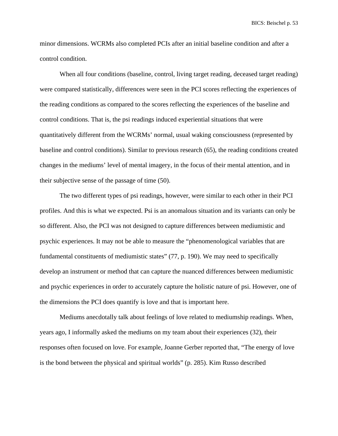minor dimensions. WCRMs also completed PCIs after an initial baseline condition and after a control condition.

When all four conditions (baseline, control, living target reading, deceased target reading) were compared statistically, differences were seen in the PCI scores reflecting the experiences of the reading conditions as compared to the scores reflecting the experiences of the baseline and control conditions. That is, the psi readings induced experiential situations that were quantitatively different from the WCRMs' normal, usual waking consciousness (represented by baseline and control conditions). Similar to previous research (65), the reading conditions created changes in the mediums' level of mental imagery, in the focus of their mental attention, and in their subjective sense of the passage of time (50).

The two different types of psi readings, however, were similar to each other in their PCI profiles. And this is what we expected. Psi is an anomalous situation and its variants can only be so different. Also, the PCI was not designed to capture differences between mediumistic and psychic experiences. It may not be able to measure the "phenomenological variables that are fundamental constituents of mediumistic states" (77, p. 190). We may need to specifically develop an instrument or method that can capture the nuanced differences between mediumistic and psychic experiences in order to accurately capture the holistic nature of psi. However, one of the dimensions the PCI does quantify is love and that is important here.

Mediums anecdotally talk about feelings of love related to mediumship readings. When, years ago, I informally asked the mediums on my team about their experiences (32), their responses often focused on love. For example, Joanne Gerber reported that, "The energy of love is the bond between the physical and spiritual worlds" (p. 285). Kim Russo described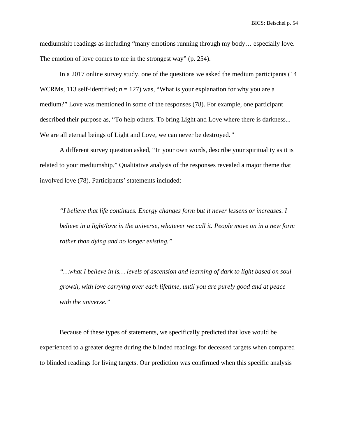mediumship readings as including "many emotions running through my body… especially love. The emotion of love comes to me in the strongest way" (p. 254).

In a 2017 online survey study, one of the questions we asked the medium participants (14 WCRMs, 113 self-identified;  $n = 127$ ) was, "What is your explanation for why you are a medium?" Love was mentioned in some of the responses (78). For example, one participant described their purpose as, "To help others. To bring Light and Love where there is darkness... We are all eternal beings of Light and Love, we can never be destroyed*."*

A different survey question asked, "In your own words, describe your spirituality as it is related to your mediumship." Qualitative analysis of the responses revealed a major theme that involved love (78). Participants' statements included:

*"I believe that life continues. Energy changes form but it never lessens or increases. I believe in a light/love in the universe, whatever we call it. People move on in a new form rather than dying and no longer existing."*

*"…what I believe in is… levels of ascension and learning of dark to light based on soul growth, with love carrying over each lifetime, until you are purely good and at peace with the universe."*

Because of these types of statements, we specifically predicted that love would be experienced to a greater degree during the blinded readings for deceased targets when compared to blinded readings for living targets. Our prediction was confirmed when this specific analysis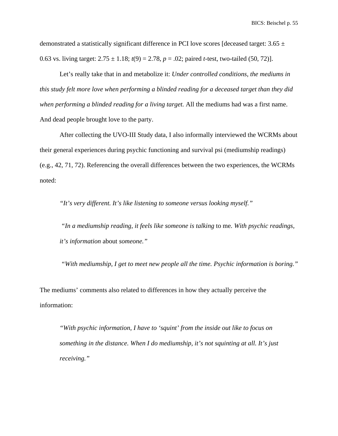demonstrated a statistically significant difference in PCI love scores [deceased target: 3.65  $\pm$ 0.63 vs. living target:  $2.75 \pm 1.18$ ;  $t(9) = 2.78$ ,  $p = .02$ ; paired *t*-test, two-tailed (50, 72)].

Let's really take that in and metabolize it: *Under controlled conditions, the mediums in this study felt more love when performing a blinded reading for a deceased target than they did when performing a blinded reading for a living target.* All the mediums had was a first name. And dead people brought love to the party.

After collecting the UVO-III Study data, I also informally interviewed the WCRMs about their general experiences during psychic functioning and survival psi (mediumship readings) (e.g., 42, 71, 72). Referencing the overall differences between the two experiences, the WCRMs noted:

*"It's very different. It's like listening to someone versus looking myself."*

*"In a mediumship reading, it feels like someone is talking* to me*. With psychic readings, it's information* about *someone."*

*"With mediumship, I get to meet new people all the time. Psychic information is boring."*

The mediums' comments also related to differences in how they actually perceive the information:

*"With psychic information, I have to 'squint' from the inside out like to focus on something in the distance. When I do mediumship, it's not squinting at all. It's just receiving."*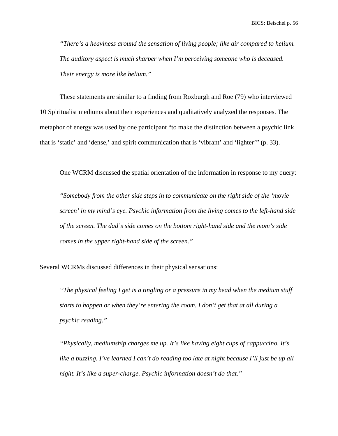*"There's a heaviness around the sensation of living people; like air compared to helium. The auditory aspect is much sharper when I'm perceiving someone who is deceased. Their energy is more like helium."*

These statements are similar to a finding from Roxburgh and Roe (79) who interviewed 10 Spiritualist mediums about their experiences and qualitatively analyzed the responses. The metaphor of energy was used by one participant "to make the distinction between a psychic link that is 'static' and 'dense,' and spirit communication that is 'vibrant' and 'lighter'" (p. 33).

One WCRM discussed the spatial orientation of the information in response to my query:

*"Somebody from the other side steps in to communicate on the right side of the 'movie screen' in my mind's eye. Psychic information from the living comes to the left-hand side of the screen. The dad's side comes on the bottom right-hand side and the mom's side comes in the upper right-hand side of the screen."*

Several WCRMs discussed differences in their physical sensations:

*"The physical feeling I get is a tingling or a pressure in my head when the medium stuff starts to happen or when they're entering the room. I don't get that at all during a psychic reading."*

*"Physically, mediumship charges me up. It's like having eight cups of cappuccino. It's like a buzzing. I've learned I can't do reading too late at night because I'll just be up all night. It's like a super-charge. Psychic information doesn't do that."*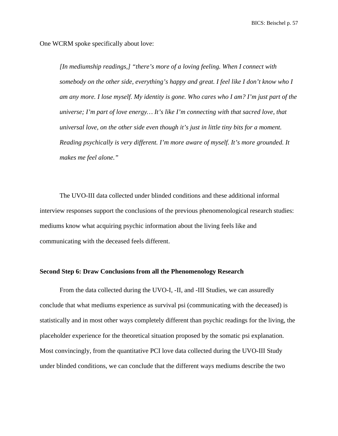One WCRM spoke specifically about love:

*[In mediumship readings,] "there's more of a loving feeling. When I connect with somebody on the other side, everything's happy and great. I feel like I don't know who I am any more. I lose myself. My identity is gone. Who cares who I am? I'm just part of the universe; I'm part of love energy… It's like I'm connecting with that sacred love, that universal love, on the other side even though it's just in little tiny bits for a moment. Reading psychically is very different. I'm more aware of myself. It's more grounded. It makes me feel alone."*

The UVO-III data collected under blinded conditions and these additional informal interview responses support the conclusions of the previous phenomenological research studies: mediums know what acquiring psychic information about the living feels like and communicating with the deceased feels different.

### **Second Step 6: Draw Conclusions from all the Phenomenology Research**

From the data collected during the UVO-I, -II, and -III Studies, we can assuredly conclude that what mediums experience as survival psi (communicating with the deceased) is statistically and in most other ways completely different than psychic readings for the living, the placeholder experience for the theoretical situation proposed by the somatic psi explanation. Most convincingly, from the quantitative PCI love data collected during the UVO-III Study under blinded conditions, we can conclude that the different ways mediums describe the two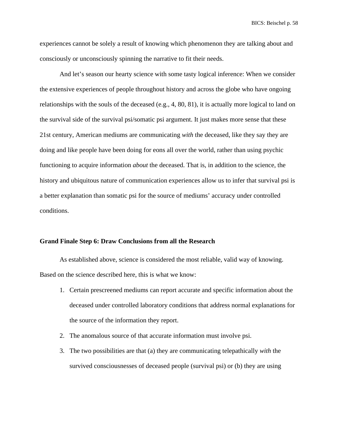experiences cannot be solely a result of knowing which phenomenon they are talking about and consciously or unconsciously spinning the narrative to fit their needs.

And let's season our hearty science with some tasty logical inference: When we consider the extensive experiences of people throughout history and across the globe who have ongoing relationships with the souls of the deceased (e.g., 4, 80, 81), it is actually more logical to land on the survival side of the survival psi/somatic psi argument. It just makes more sense that these 21st century, American mediums are communicating *with* the deceased, like they say they are doing and like people have been doing for eons all over the world, rather than using psychic functioning to acquire information *about* the deceased. That is, in addition to the science, the history and ubiquitous nature of communication experiences allow us to infer that survival psi is a better explanation than somatic psi for the source of mediums' accuracy under controlled conditions.

### **Grand Finale Step 6: Draw Conclusions from all the Research**

As established above, science is considered the most reliable, valid way of knowing. Based on the science described here, this is what we know:

- 1. Certain prescreened mediums can report accurate and specific information about the deceased under controlled laboratory conditions that address normal explanations for the source of the information they report.
- 2. The anomalous source of that accurate information must involve psi.
- 3. The two possibilities are that (a) they are communicating telepathically *with* the survived consciousnesses of deceased people (survival psi) or (b) they are using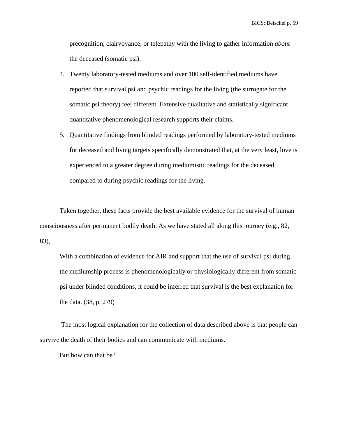precognition, clairvoyance, or telepathy with the living to gather information *about* the deceased (somatic psi).

- 4. Twenty laboratory-tested mediums and over 100 self-identified mediums have reported that survival psi and psychic readings for the living (the surrogate for the somatic psi theory) feel different. Extensive qualitative and statistically significant quantitative phenomenological research supports their claims.
- 5. Quantitative findings from blinded readings performed by laboratory-tested mediums for deceased and living targets specifically demonstrated that, at the very least, love is experienced to a greater degree during mediumistic readings for the deceased compared to during psychic readings for the living.

Taken together, these facts provide the best available evidence for the survival of human consciousness after permanent bodily death. As we have stated all along this journey (e.g., 82, 83),

With a combination of evidence for AIR and support that the use of survival psi during the mediumship process is phenomenologically or physiologically different from somatic psi under blinded conditions, it could be inferred that survival is the best explanation for the data. (38, p. 279)

The most logical explanation for the collection of data described above is that people can survive the death of their bodies and can communicate with mediums.

But how can that be?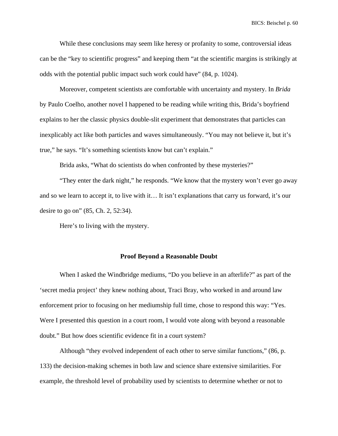While these conclusions may seem like heresy or profanity to some, controversial ideas can be the "key to scientific progress" and keeping them "at the scientific margins is strikingly at odds with the potential public impact such work could have" (84, p. 1024).

Moreover, competent scientists are comfortable with uncertainty and mystery. In *Brida* by Paulo Coelho, another novel I happened to be reading while writing this, Brida's boyfriend explains to her the classic physics double-slit experiment that demonstrates that particles can inexplicably act like both particles and waves simultaneously. "You may not believe it, but it's true," he says. "It's something scientists know but can't explain."

Brida asks, "What do scientists do when confronted by these mysteries?"

"They enter the dark night," he responds. "We know that the mystery won't ever go away and so we learn to accept it, to live with it… It isn't explanations that carry us forward, it's our desire to go on" (85, Ch. 2, 52:34).

Here's to living with the mystery.

### **Proof Beyond a Reasonable Doubt**

When I asked the Windbridge mediums, "Do you believe in an afterlife?" as part of the 'secret media project' they knew nothing about, Traci Bray, who worked in and around law enforcement prior to focusing on her mediumship full time, chose to respond this way: "Yes. Were I presented this question in a court room, I would vote along with beyond a reasonable doubt." But how does scientific evidence fit in a court system?

Although "they evolved independent of each other to serve similar functions," (86, p. 133) the decision-making schemes in both law and science share extensive similarities. For example, the threshold level of probability used by scientists to determine whether or not to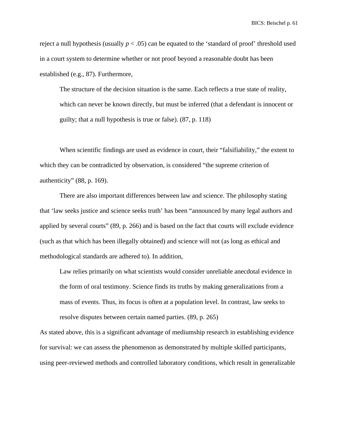reject a null hypothesis (usually  $p < .05$ ) can be equated to the 'standard of proof' threshold used in a court system to determine whether or not proof beyond a reasonable doubt has been established (e.g., 87). Furthermore,

The structure of the decision situation is the same. Each reflects a true state of reality, which can never be known directly, but must be inferred (that a defendant is innocent or guilty; that a null hypothesis is true or false). (87, p. 118)

When scientific findings are used as evidence in court, their "falsifiability," the extent to which they can be contradicted by observation, is considered "the supreme criterion of authenticity" (88, p. 169).

There are also important differences between law and science. The philosophy stating that 'law seeks justice and science seeks truth' has been "announced by many legal authors and applied by several courts" (89, p. 266) and is based on the fact that courts will exclude evidence (such as that which has been illegally obtained) and science will not (as long as ethical and methodological standards are adhered to). In addition,

Law relies primarily on what scientists would consider unreliable anecdotal evidence in the form of oral testimony. Science finds its truths by making generalizations from a mass of events. Thus, its focus is often at a population level. In contrast, law seeks to resolve disputes between certain named parties. (89, p. 265)

As stated above, this is a significant advantage of mediumship research in establishing evidence for survival: we can assess the phenomenon as demonstrated by multiple skilled participants, using peer-reviewed methods and controlled laboratory conditions, which result in generalizable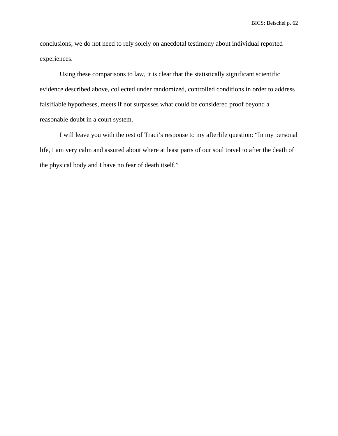conclusions; we do not need to rely solely on anecdotal testimony about individual reported experiences.

Using these comparisons to law, it is clear that the statistically significant scientific evidence described above, collected under randomized, controlled conditions in order to address falsifiable hypotheses, meets if not surpasses what could be considered proof beyond a reasonable doubt in a court system.

I will leave you with the rest of Traci's response to my afterlife question: "In my personal life, I am very calm and assured about where at least parts of our soul travel to after the death of the physical body and I have no fear of death itself."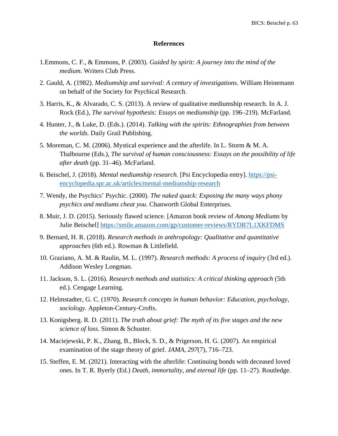### **References**

- 1.Emmons, C. F., & Emmons, P. (2003). *Guided by spirit: A journey into the mind of the medium*. Writers Club Press.
- 2. Gauld, A. (1982). *Mediumship and survival: A century of investigations*. William Heinemann on behalf of the Society for Psychical Research.
- 3. Harris, K., & Alvarado, C. S. (2013). A review of qualitative mediumship research. In A. J. Rock (Ed.), *The survival hypothesis: Essays on mediumship* (pp. 196–219). McFarland.
- 4. Hunter, J., & Luke, D. (Eds.). (2014). *Talking with the spirits: Ethnographies from between the worlds*. Daily Grail Publishing.
- 5. Moreman, C. M. (2006). Mystical experience and the afterlife. In L. Storm & M. A. Thalbourne (Eds.), *The survival of human consciousness: Essays on the possibility of life after death* (pp. 31–46). McFarland.
- 6. Beischel, J. (2018). *Mental mediumship research.* [Psi Encyclopedia entry]. [https://psi](https://psi-encyclopedia.spr.ac.uk/articles/mental-mediumship-research)[encyclopedia.spr.ac.uk/articles/mental-mediumship-research](https://psi-encyclopedia.spr.ac.uk/articles/mental-mediumship-research)
- 7. Wendy, the Psychics' Psychic. (2000). *The naked quack: Exposing the many ways phony psychics and mediums cheat you*. Chanworth Global Enterprises.
- 8. Muir, J. D. (2015). Seriously flawed science. [Amazon book review of *Among Mediums* by Julie Beischel]<https://smile.amazon.com/gp/customer-reviews/RYDR7L1XKFDMS>
- 9. Bernard, H. R. (2018). *Research methods in anthropology: Qualitative and quantitative approaches* (6th ed.). Rowman & Littlefield.
- 10. Graziano, A. M. & Raulin, M. L. (1997). *Research methods: A process of inquiry* (3rd ed.). Addison Wesley Longman.
- 11. Jackson, S. L. (2016). *Research methods and statistics: A critical thinking approach* (5th ed.). Cengage Learning.
- 12. Helmstadter, G. C. (1970). *Research concepts in human behavior: Education, psychology, sociology*. Appleton-Century-Crofts.
- 13. Konigsberg. R. D. (2011). *The truth about grief: The myth of its five stages and the new science of loss*. Simon & Schuster.
- 14. Maciejewski, P. K., Zhang, B., Block, S. D., & Prigerson, H. G. (2007). An empirical examination of the stage theory of grief. *JAMA*, *297*(7), 716–723.
- 15. Steffen, E. M. (2021). Interacting with the afterlife: Continuing bonds with deceased loved ones. In T. R. Byerly (Ed.) *Death, immortality, and eternal life* (pp. 11–27). Routledge.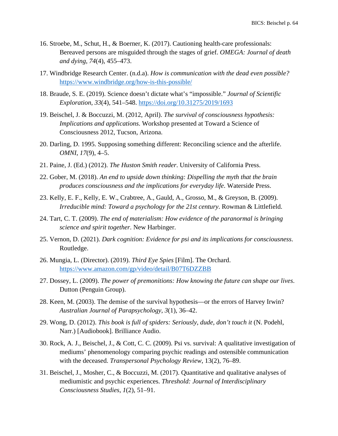- 16. Stroebe, M., Schut, H., & Boerner, K. (2017). Cautioning health-care professionals: Bereaved persons are misguided through the stages of grief. *OMEGA: Journal of death and dying*, *74*(4), 455–473.
- 17. Windbridge Research Center. (n.d.a). *How is communication with the dead even possible?* <https://www.windbridge.org/how-is-this-possible/>
- 18. Braude, S. E. (2019). Science doesn't dictate what's "impossible." *Journal of Scientific Exploration*, *33*(4), 541–548. <https://doi.org/10.31275/2019/1693>
- 19. Beischel, J. & Boccuzzi, M. (2012, April). *The survival of consciousness hypothesis: Implications and applications*. Workshop presented at Toward a Science of Consciousness 2012, Tucson, Arizona.
- 20. Darling, D. 1995. Supposing something different: Reconciling science and the afterlife. *OMNI*, *17*(9), 4–5.
- 21. Paine, J. (Ed.) (2012). *The Huston Smith reader*. University of California Press.
- 22. Gober, M. (2018). *An end to upside down thinking: Dispelling the myth that the brain produces consciousness and the implications for everyday life*. Waterside Press.
- 23. Kelly, E. F., Kelly, E. W., Crabtree, A., Gauld, A., Grosso, M., & Greyson, B. (2009). *Irreducible mind: Toward a psychology for the 21st century*. Rowman & Littlefield.
- 24. Tart, C. T. (2009). *The end of materialism: How evidence of the paranormal is bringing science and spirit together*. New Harbinger.
- 25. Vernon, D. (2021). *Dark cognition: Evidence for psi and its implications for consciousness*. Routledge.
- 26. Mungia, L. (Director). (2019). *Third Eye Spies* [Film]. The Orchard. <https://www.amazon.com/gp/video/detail/B07T6DZZBB>
- 27. Dossey, L. (2009). *The power of premonitions: How knowing the future can shape our lives*. Dutton (Penguin Group).
- 28. Keen, M. (2003). The demise of the survival hypothesis—or the errors of Harvey Irwin? *Australian Journal of Parapsychology*, *3*(1), 36–42.
- 29. Wong, D. (2012). *This book is full of spiders: Seriously, dude, don't touch it* (N. Podehl, Narr.) [Audiobook]. Brilliance Audio.
- 30. Rock, A. J., Beischel, J., & Cott, C. C. (2009). Psi vs. survival: A qualitative investigation of mediums' phenomenology comparing psychic readings and ostensible communication with the deceased. *Transpersonal Psychology Review*, 13(2), 76–89.
- 31. Beischel, J., Mosher, C., & Boccuzzi, M. (2017). Quantitative and qualitative analyses of mediumistic and psychic experiences. *Threshold: Journal of Interdisciplinary Consciousness Studies*, *1*(2), 51–91.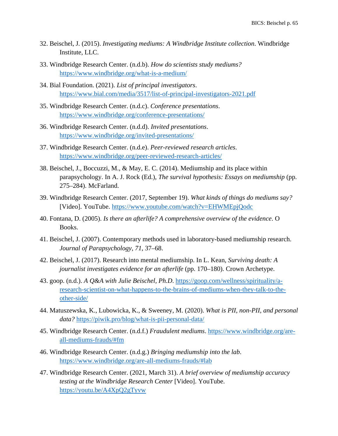- 32. Beischel, J. (2015). *Investigating mediums: A Windbridge Institute collection*. Windbridge Institute, LLC.
- 33. Windbridge Research Center. (n.d.b). *How do scientists study mediums?* <https://www.windbridge.org/what-is-a-medium/>
- 34. Bial Foundation. (2021). *List of principal investigators*. <https://www.bial.com/media/3517/list-of-principal-investigators-2021.pdf>
- 35. Windbridge Research Center. (n.d.c). *Conference presentations*. <https://www.windbridge.org/conference-presentations/>
- 36. Windbridge Research Center. (n.d.d). *Invited presentations*. <https://www.windbridge.org/invited-presentations/>
- 37. Windbridge Research Center. (n.d.e). *Peer-reviewed research articles*. <https://www.windbridge.org/peer-reviewed-research-articles/>
- 38. Beischel, J., Boccuzzi, M., & May, E. C. (2014). Mediumship and its place within parapsychology. In A. J. Rock (Ed.), *The survival hypothesis: Essays on mediumship* (pp. 275–284). McFarland.
- 39. Windbridge Research Center. (2017, September 19). *What kinds of things do mediums say?* [Video]. YouTube.<https://www.youtube.com/watch?v=EHWMEpjQodc>
- 40. Fontana, D. (2005). *Is there an afterlife? A comprehensive overview of the evidence*. O Books.
- 41. Beischel, J. (2007). Contemporary methods used in laboratory-based mediumship research. *Journal of Parapsychology*, *71*, 37–68.
- 42. Beischel, J. (2017). Research into mental mediumship. In L. Kean, *Surviving death: A journalist investigates evidence for an afterlife* (pp. 170–180). Crown Archetype.
- 43. goop. (n.d.). *A Q&A with Julie Beischel, Ph.D*. [https://goop.com/wellness/spirituality/a](https://goop.com/wellness/spirituality/a-research-scientist-on-what-happens-to-the-brains-of-mediums-when-they-talk-to-the-other-side/)[research-scientist-on-what-happens-to-the-brains-of-mediums-when-they-talk-to-the](https://goop.com/wellness/spirituality/a-research-scientist-on-what-happens-to-the-brains-of-mediums-when-they-talk-to-the-other-side/)[other-side/](https://goop.com/wellness/spirituality/a-research-scientist-on-what-happens-to-the-brains-of-mediums-when-they-talk-to-the-other-side/)
- 44. Matuszewska, K., Lubowicka, K., & Sweeney, M. (2020). *What is PII, non-PII, and personal data?* <https://piwik.pro/blog/what-is-pii-personal-data/>
- 45. Windbridge Research Center. (n.d.f.) *Fraudulent mediums*. [https://www.windbridge.org/are](https://www.windbridge.org/are-all-mediums-frauds/#fm)[all-mediums-frauds/#fm](https://www.windbridge.org/are-all-mediums-frauds/#fm)
- 46. Windbridge Research Center. (n.d.g.) *Bringing mediumship into the lab*. <https://www.windbridge.org/are-all-mediums-frauds/#lab>
- 47. Windbridge Research Center. (2021, March 31). *A brief overview of mediumship accuracy testing at the Windbridge Research Center* [Video]. YouTube. <https://youtu.be/A4XpQ2gTyvw>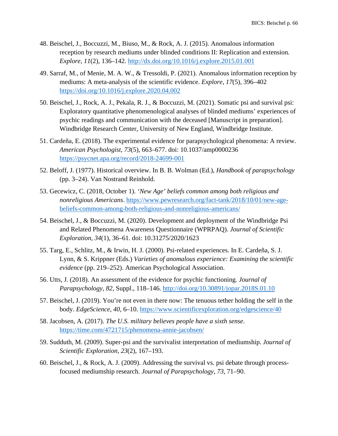- 48. Beischel, J., Boccuzzi, M., Biuso, M., & Rock, A. J. (2015). Anomalous information reception by research mediums under blinded conditions II: Replication and extension. *Explore*, *11*(2), 136–142.<http://dx.doi.org/10.1016/j.explore.2015.01.001>
- 49. Sarraf, M., of Menie, M. A. W., & Tressoldi, P. (2021). Anomalous information reception by mediums: A meta-analysis of the scientific evidence. *Explore*, *17*(5), 396–402 <https://doi.org/10.1016/j.explore.2020.04.002>
- 50. Beischel, J., Rock, A. J., Pekala, R. J., & Boccuzzi, M. (2021). Somatic psi and survival psi: Exploratory quantitative phenomenological analyses of blinded mediums' experiences of psychic readings and communication with the deceased [Manuscript in preparation]. Windbridge Research Center, University of New England, Windbridge Institute.
- 51. Cardeña, E. (2018). The experimental evidence for parapsychological phenomena: A review. *American Psychologist*, *73*(5), 663–677. doi: 10.1037/amp0000236 <https://psycnet.apa.org/record/2018-24699-001>
- 52. Beloff, J. (1977). Historical overview. In B. B. Wolman (Ed.), *Handbook of parapsychology* (pp. 3–24). Van Nostrand Reinhold.
- 53. Gecewicz, C. (2018, October 1). *'New Age' beliefs common among both religious and nonreligious Americans*. [https://www.pewresearch.org/fact-tank/2018/10/01/new-age](https://www.pewresearch.org/fact-tank/2018/10/01/new-age-beliefs-common-among-both-religious-and-nonreligious-americans/)[beliefs-common-among-both-religious-and-nonreligious-americans/](https://www.pewresearch.org/fact-tank/2018/10/01/new-age-beliefs-common-among-both-religious-and-nonreligious-americans/)
- 54. Beischel, J., & Boccuzzi, M. (2020). Development and deployment of the Windbridge Psi and Related Phenomena Awareness Questionnaire (WPRPAQ). *Journal of Scientific Exploration*, *34*(1), 36–61. doi: 10.31275/2020/1623
- 55. Targ, E., Schlitz, M., & Irwin, H. J. (2000). Psi-related experiences. In E. Cardeña, S. J. Lynn, & S. Krippner (Eds.) *Varieties of anomalous experience: Examining the scientific evidence* (pp. 219–252). American Psychological Association.
- 56. Utts, J. (2018). An assessment of the evidence for psychic functioning. *Journal of Parapsychology*, *82*, Suppl., 118–146.<http://doi.org/10.30891/jopar.2018S.01.10>
- 57. Beischel, J. (2019). You're not even in there now: The tenuous tether holding the self in the body. *EdgeScience*, *40*, 6–10. <https://www.scientificexploration.org/edgescience/40>
- 58. Jacobsen, A. (2017). *The U.S. military believes people have a sixth sense*. <https://time.com/4721715/phenomena-annie-jacobsen/>
- 59. Sudduth, M. (2009). Super-psi and the survivalist interpretation of mediumship. *Journal of Scientific Exploration*, *23*(2), 167–193.
- 60. Beischel, J., & Rock, A. J. (2009). Addressing the survival vs. psi debate through processfocused mediumship research. *Journal of Parapsychology*, *73*, 71–90.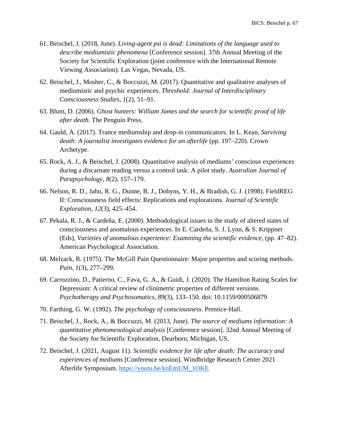- 61. Beischel, J. (2018, June). *Living-agent psi is dead: Limitations of the language used to describe mediumistic phenomena* [Conference session]. 37th Annual Meeting of the Society for Scientific Exploration (joint conference with the International Remote Viewing Association). Las Vegas, Nevada, US.
- 62. Beischel, J., Mosher, C., & Boccuzzi, M. (2017). Quantitative and qualitative analyses of mediumistic and psychic experiences. *Threshold: Journal of Interdisciplinary Consciousness Studies*, *1*(2), 51–91.
- 63. Blum, D. (2006). *Ghost hunters: William James and the search for scientific proof of life after death*. The Penguin Press.
- 64. Gauld, A. (2017). Trance mediumship and drop-in communicators. In L. Kean, *Surviving death: A journalist investigates evidence for an afterlife* (pp. 197–220). Crown Archetype.
- 65. Rock, A. J., & Beischel, J. (2008). Quantitative analysis of mediums' conscious experiences during a discarnate reading versus a control task: A pilot study. *Australian Journal of Parapsychology*, *8*(2), 157–179.
- 66. Nelson, R. D., Jahn, R. G., Dunne, B. J., Dobyns, Y. H., & Bradish, G. J. (1998). FieldREG II: Consciousness field effects: Replications and explorations. *Journal of Scientific Exploration*, *12*(3), 425–454.
- 67. Pekala, R. J., & Cardeña, E. (2000). Methodological issues in the study of altered states of consciousness and anomalous experiences. In E. Cardeña, S. J. Lynn, & S. Krippner (Eds), *Varieties of anomalous experience: Examining the scientific evidence*, (pp. 47–82). American Psychological Association.
- 68. Melzack, R. (1975). The McGill Pain Questionnaire: Major properties and scoring methods. *Pain*, *1*(3), 277–299.
- 69. Carrozzino, D., Patierno, C., Fava, G. A., & Guidi, J. (2020). The Hamilton Rating Scales for Depression: A critical review of clinimetric properties of different versions. *Psychotherapy and Psychosomatics*, *89*(3), 133–150. doi: 10.1159/000506879
- 70. Farthing, G. W. (1992). *The psychology of consciousness*. Prentice-Hall.
- 71. Beischel, J., Rock, A., & Boccuzzi, M. (2013, June). *The source of mediums information: A quantitative phenomenological analysis* [Conference session]. 32nd Annual Meeting of the Society for Scientific Exploration, Dearborn, Michigan, US.
- 72. Beischel, J. (2021, August 11). *Scientific evidence for life after death: The accuracy and experiences of mediums* [Conference session]. Windbridge Research Center 2021 Afterlife Symposium. [https://youtu.be/knEmUM\\_1OKE](https://youtu.be/knEmUM_1OKE)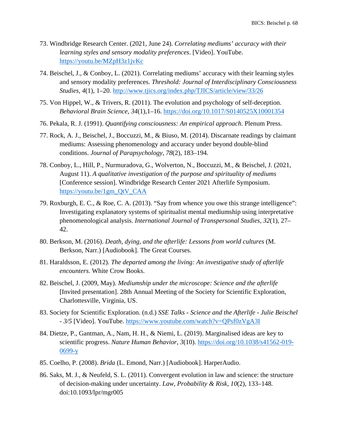- 73. Windbridge Research Center. (2021, June 24). *Correlating mediums' accuracy with their learning styles and sensory modality preferences*. [Video]. YouTube. <https://youtu.be/MZpH3z1jvKc>
- 74. Beischel, J., & Conboy, L. (2021). Correlating mediums' accuracy with their learning styles and sensory modality preferences. *Threshold: Journal of Interdisciplinary Consciousness Studies*, *4*(1), 1–20.<http://www.tjics.org/index.php/TJICS/article/view/33/26>
- 75. Von Hippel, W., & Trivers, R. (2011). The evolution and psychology of self-deception. *Behavioral Brain Science*, *34*(1),1–16.<https://doi.org/10.1017/S0140525X10001354>
- 76. Pekala, R. J. (1991). *Quantifying consciousness: An empirical approach*. Plenum Press.
- 77. Rock, A. J., Beischel, J., Boccuzzi, M., & Biuso, M. (2014). Discarnate readings by claimant mediums: Assessing phenomenology and accuracy under beyond double-blind conditions. *Journal of Parapsychology*, *78*(2), 183–194.
- 78. Conboy, L., Hill, P., Nurmuradova, G., Wolverton, N., Boccuzzi, M., & Beischel, J. (2021, August 11). *A qualitative investigation of the purpose and spirituality of mediums* [Conference session]. Windbridge Research Center 2021 Afterlife Symposium. [https://youtu.be/1gm\\_QtV\\_CAA](https://youtu.be/1gm_QtV_CAA)
- 79. Roxburgh, E. C., & Roe, C. A. (2013). "Say from whence you owe this strange intelligence": Investigating explanatory systems of spiritualist mental mediumship using interpretative phenomenological analysis. *International Journal of Transpersonal Studies*, *32*(1), 27– 42.
- 80. Berkson, M. (2016). *Death, dying, and the afterlife: Lessons from world cultures* (M. Berkson, Narr.) [Audiobook]. The Great Courses.
- 81. Haraldsson, E. (2012). *The departed among the living: An investigative study of afterlife encounters*. White Crow Books.
- 82. Beischel, J. (2009, May). *Mediumship under the microscope: Science and the afterlife* [Invited presentation]. 28th Annual Meeting of the Society for Scientific Exploration, Charlottesville, Virginia, US.
- 83. Society for Scientific Exploration. (n.d.) *SSE Talks - Science and the Afterlife - Julie Beischel - 3/5* [Video]. YouTube.<https://www.youtube.com/watch?v=QPsf0zVgA3I>
- 84. Dietze, P., Gantman, A., Nam, H. H., & Niemi, L. (2019). Marginalised ideas are key to scientific progress. *Nature Human Behavior*, *3*(10). [https://doi.org/10.1038/s41562-019-](https://doi.org/10.1038/s41562-019-0699-y)  $0699-y$
- 85. Coelho, P. (2008). *Brida* (L. Emond, Narr.) [Audiobook]. HarperAudio.
- 86. Saks, M. J., & Neufeld, S. L. (2011). Convergent evolution in law and science: the structure of decision-making under uncertainty. *Law, Probability & Risk*, *10*(2), 133–148. doi:10.1093/lpr/mgr005